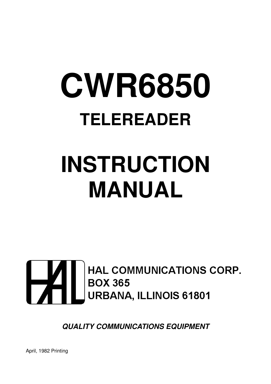# **CWR6850 TELEREADER**

## **INSTRUCTION MANUAL**



**QUALITY COMMUNICATIONS EQUIPMENT**

April, 1982 Printing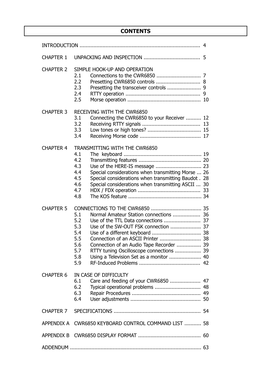#### **CONTENTS**

| <b>CHAPTER 1</b> |                                                                                                                                                                                                                                                                                                                                                           |  |
|------------------|-----------------------------------------------------------------------------------------------------------------------------------------------------------------------------------------------------------------------------------------------------------------------------------------------------------------------------------------------------------|--|
| <b>CHAPTER 2</b> | SIMPLE HOOK-UP AND OPERATION<br>2.1<br>2.2<br>Presetting CWR6850 controls  8<br>2.3<br>2.4<br>2.5                                                                                                                                                                                                                                                         |  |
| <b>CHAPTER 3</b> | RECEIVING WITH THE CWR6850<br>3.1<br>Connecting the CWR6850 to your Receiver  12<br>3.2<br>3.3<br>3.4                                                                                                                                                                                                                                                     |  |
| <b>CHAPTER 4</b> | TRANSMITTING WITH THE CWR6850<br>4.1<br>4.2<br>4.3<br>Special considerations when transmitting Morse  26<br>4.4<br>4.5<br>Special considerations when transmitting Baudot. 28<br>Special considerations when transmitting ASCII  30<br>4.6<br>4.7<br>4.8                                                                                                  |  |
| <b>CHAPTER 5</b> | 5.1<br>Normal Amateur Station connections  36<br>5.2<br>5.3<br>Use of the SW-OUT FSK connection  37<br>Use of a different keyboard  38<br>5.4<br>Connection of an ASCII Printer  38<br>5.5<br>Connection of an Audio Tape Recorder  39<br>5.6<br>RTTY tuning Oscilloscope connections  39<br>5.7<br>Using a Television Set as a monitor  40<br>5.8<br>5.9 |  |
| <b>CHAPTER 6</b> | IN CASE OF DIFFICULTY<br>Care and feeding of your CWR6850  47<br>6.1<br>Typical operational problems  48<br>6.2<br>6.3<br>6.4                                                                                                                                                                                                                             |  |
| CHAPTER 7        |                                                                                                                                                                                                                                                                                                                                                           |  |
| APPENDIX A       | CWR6850 KEYBOARD CONTROL COMMAND LIST  58                                                                                                                                                                                                                                                                                                                 |  |
|                  |                                                                                                                                                                                                                                                                                                                                                           |  |
|                  |                                                                                                                                                                                                                                                                                                                                                           |  |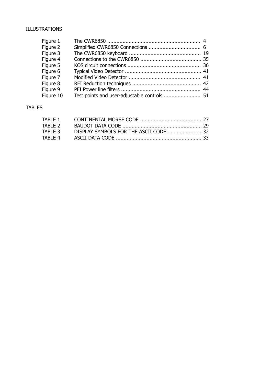#### ILLUSTRATIONS

| Figure 1  |                                              |  |
|-----------|----------------------------------------------|--|
| Figure 2  |                                              |  |
| Figure 3  |                                              |  |
| Figure 4  |                                              |  |
| Figure 5  |                                              |  |
| Figure 6  |                                              |  |
| Figure 7  |                                              |  |
| Figure 8  |                                              |  |
| Figure 9  |                                              |  |
| Figure 10 | Test points and user-adjustable controls  51 |  |

#### TABLES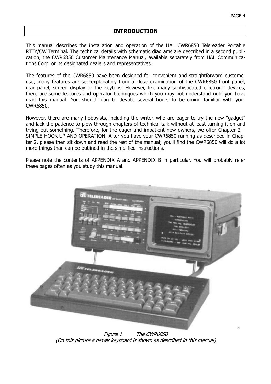#### **INTRODUCTION**

This manual describes the installation and operation of the HAL CWR6850 Telereader Portable RTTY/CW Terminal. The technical details with schematic diagrams are described in a second publication, the CWR6850 Customer Maintenance Manual, available separately from HAL Communications Corp. or its designated dealers and representatives.

The features of the CWR6850 have been designed for convenient and straightforward customer use; many features are self-explanatory from a close examination of the CWR6850 front panel, rear panel, screen display or the keytops. However, like many sophisticated electronic devices, there are some features and operator techniques which you may not understand until you have read this manual. You should plan to devote several hours to becoming familiar with your CWR6850.

However, there are many hobbyists, including the writer, who are eager to try the new "gadget" and lack the patience to plow through chapters of technical talk without at least turning it on and trying out something. Therefore, for the eager and impatient new owners, we offer Chapter 2 – SIMPLE HOOK-UP AND OPERATION. After you have your CWR6850 running as described in Chapter 2, please then sit down and read the rest of the manual; you'll find the CWR6850 will do a lot more things than can be outlined in the simplified instructions.

Please note the contents of APPENDIX A and APPENDIX B in particular. You will probably refer these pages often as you study this manual.



Figure 1 The CWR6850 (On this picture a newer keyboard is shown as described in this manual)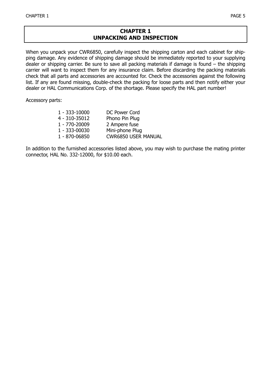#### **CHAPTER 1 UNPACKING AND INSPECTION**

When you unpack your CWR6850, carefully inspect the shipping carton and each cabinet for shipping damage. Any evidence of shipping damage should be immediately reported to your supplying dealer or shipping carrier. Be sure to save all packing materials if damage is found – the shipping carrier will want to inspect them for any insurance claim. Before discarding the packing materials check that all parts and accessories are accounted for. Check the accessories against the following list. If any are found missing, double-check the packing for loose parts and then notify either your dealer or HAL Communications Corp. of the shortage. Please specify the HAL part number!

Accessory parts:

| 1 - 333-10000 | DC Power Cord              |
|---------------|----------------------------|
| 4 - 310-35012 | Phono Pin Plug             |
| 1 - 770-20009 | 2 Ampere fuse              |
| 1 - 333-00030 | Mini-phone Plug            |
| 1 - 870-06850 | <b>CWR6850 USER MANUAL</b> |

In addition to the furnished accessories listed above, you may wish to purchase the mating printer connector, HAL No. 332-12000, for \$10.00 each.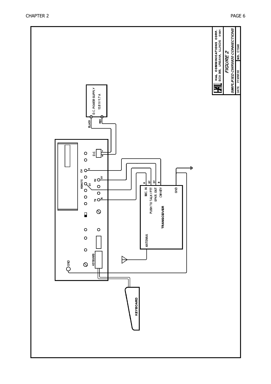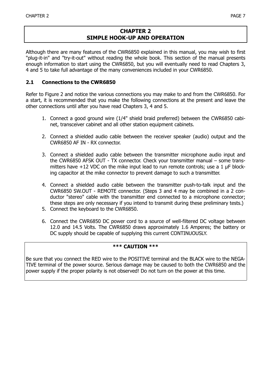#### **CHAPTER 2 SIMPLE HOOK-UP AND OPERATION**

Although there are many features of the CWR6850 explained in this manual, you may wish to first "plug-it-in" and "try-it-out" without reading the whole book. This section of the manual presents enough information to start using the CWR6850, but you will eventually need to read Chapters 3, 4 and 5 to take full advantage of the many conveniences included in your CWR6850.

#### **2.1 Connections to the CWR6850**

Refer to Figure 2 and notice the various connections you may make to and from the CWR6850. For a start, it is recommended that you make the following connections at the present and leave the other connections until after you have read Chapters 3, 4 and 5.

- 1. Connect a good ground wire (1/4" shield braid preferred) between the CWR6850 cabinet, transceiver cabinet and all other station equipment cabinets.
- 2. Connect a shielded audio cable between the receiver speaker (audio) output and the CWR6850 AF IN - RX connector.
- 3. Connect a shielded audio cable between the transmitter microphone audio input and the CWR6850 AFSK OUT - TX connector. Check your transmitter manual – some transmitters have  $+12$  VDC on the mike input lead to run remote controls; use a 1  $\mu$ F blocking capacitor at the mike connector to prevent damage to such a transmitter.
- 4. Connect a shielded audio cable between the transmitter push-to-talk input and the CWR6850 SW.OUT - REMOTE connector. (Steps 3 and 4 may be combined in a 2 conductor "stereo" cable with the transmitter end connected to a microphone connector; these steps are only necessary if you intend to transmit during these preliminary tests.)
- 5. Connect the keyboard to the CWR6850.
- 6. Connect the CWR6850 DC power cord to a source of well-filtered DC voltage between 12.0 and 14.5 Volts. The CWR6850 draws approximately 1.6 Amperes; the battery or DC supply should be capable of supplying this current CONTINUOUSLY.

#### **\*\*\* CAUTION \*\*\***

Be sure that you connect the RED wire to the POSITIVE terminal and the BLACK wire to the NEGA-TIVE terminal of the power source. Serious damage may be caused to both the CWR6850 and the power supply if the proper polarity is not observed! Do not turn on the power at this time.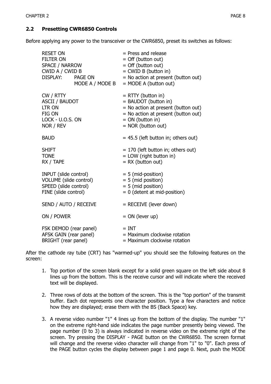#### **2.2 Presetting CWR6850 Controls**

Before applying any power to the transceiver or the CWR6850, preset its switches as follows:

| <b>RESET ON</b><br><b>FILTER ON</b><br>SPACE / NARROW<br>CWID A / CWID B<br>DISPLAY: PAGE ON     | MODE A / MODE B | $=$ Press and release<br>= Off (button out)<br>$=$ Off (button out)<br>= CWID B (button in)<br>= No action at present (button out)<br>$=$ MODE A (button out)            |
|--------------------------------------------------------------------------------------------------|-----------------|--------------------------------------------------------------------------------------------------------------------------------------------------------------------------|
| CW / RTTY<br><b>ASCII / BAUDOT</b><br><b>LTR ON</b><br>FIG ON<br>LOCK - U.O.S. ON<br>NOR / REV   |                 | $= RTTY$ (button in)<br>= BAUDOT (button in)<br>= No action at present (button out)<br>= No action at present (button out)<br>$= ON$ (button in)<br>$=$ NOR (button out) |
| <b>BAUD</b>                                                                                      |                 | $= 45.5$ (left button in; others out)                                                                                                                                    |
| <b>SHIFT</b><br><b>TONE</b><br>RX / TAPE                                                         |                 | $= 170$ (left button in; others out)<br>= LOW (right button in)<br>$= RX$ (button out)                                                                                   |
| INPUT (slide control)<br>VOLUME (slide control)<br>SPEED (slide control)<br>FINE (slide control) |                 | $= 5$ (mid-position)<br>$= 5$ (mid position)<br>$= 5$ (mid position)<br>$= 0$ (detent at mid-position)                                                                   |
| SEND / AUTO / RECEIVE                                                                            |                 | $=$ RECEIVE (lever down)                                                                                                                                                 |
| ON / POWER                                                                                       |                 | $= ON$ (lever up)                                                                                                                                                        |
| FSK DEMOD (rear panel)<br>AFSK GAIN (rear panel)<br>BRIGHT (rear panel)                          |                 | $= INT$<br>= Maximum clockwise rotation<br>$=$ Maximum clockwise rotation                                                                                                |

After the cathode ray tube (CRT) has "warmed-up" you should see the following features on the screen:

- 1. Top portion of the screen blank except for a solid green square on the left side about 8 lines up from the bottom. This is the receive cursor and will indicate where the received text will be displayed.
- 2. Three rows of dots at the bottom of the screen. This is the "top portion" of the transmit buffer. Each dot represents one character position. Type a few characters and notice how they are displayed; erase them with the BS (Back Space) key.
- 3. A reverse video number "1" 4 lines up from the bottom of the display. The number "1" on the extreme right-hand side indicates the page number presently being viewed. The page number (0 to 3) is always indicated in reverse video on the extreme right of the screen. Try pressing the DISPLAY - PAGE button on the CWR6850. The screen format will change and the reverse video character will change from "1" to "0". Each press of the PAGE button cycles the display between page 1 and page 0. Next, push the MODE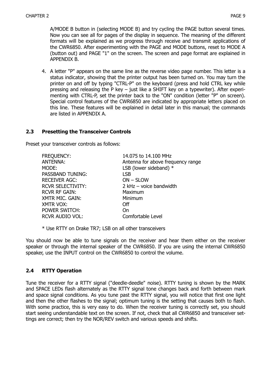A/MODE B button in (selecting MODE B) and try cycling the PAGE button several times. Now you can see all for pages of the display in sequence. The meaning of the different formats will be explained as we progress through receive and transmit applications of the CWR6850. After experimenting with the PAGE and MODE buttons, reset to MODE A (button out) and PAGE "1" on the screen. The screen and page format are explained in APPENDIX B.

4. A letter "P" appears on the same line as the reverse video page number. This letter is a status indicator, showing that the printer output has been turned on. You may turn the printer on and off by typing "CTRL-P" on the keyboard (press and hold CTRL key while pressing and releasing the P key – just like a SHIFT key on a typewriter). After experimenting with CTRL-P, set the printer back to the "ON" condition (letter "P" on screen). Special control features of the CWR6850 are indicated by appropriate letters placed on this line. These features will be explained in detail later in this manual; the commands are listed in APPENDIX A.

#### **2.3 Presetting the Transceiver Controls**

Preset your transceiver controls as follows:

| <b>FREQUENCY:</b>        | 14.075 to 14.100 MHz              |
|--------------------------|-----------------------------------|
| <b>ANTENNA:</b>          | Antenna for above frequency range |
| MODE:                    | LSB (lower sideband) $*$          |
| PASSBAND TUNING:         | <b>LSB</b>                        |
| <b>RECEIVER AGC:</b>     | ON - SLOW                         |
| <b>RCVR SELECTIVITY:</b> | 2 $kHz$ – voice bandwidth         |
| <b>RCVR RF GAIN:</b>     | Maximum                           |
| XMTR MIC. GAIN:          | Minimum                           |
| XMTR VOX:                | Off                               |
| POWER SWITCH:            | On                                |
| <b>RCVR AUDIO VOL:</b>   | Comfortable Level                 |

\* Use RTTY on Drake TR7; LSB on all other transceivers

You should now be able to tune signals on the receiver and hear them either on the receiver speaker or through the internal speaker of the CWR6850. If you are using the internal CWR6850 speaker, use the INPUT control on the CWR6850 to control the volume.

#### **2.4 RTTY Operation**

Tune the receiver for a RTTY signal ("deedle-deedle" noise). RTTY tuning is shown by the MARK and SPACE LEDs flash alternately as the RTTY signal tone changes back and forth between mark and space signal conditions. As you tune past the RTTY signal, you will notice that first one light and then the other flashes to the signal; optimum tuning is the setting that causes both to flash. With some practice, this is very easy to do. When the receiver tuning is correctly set, you should start seeing understandable text on the screen. If not, check that all CWR6850 and transceiver settings are correct; then try the NOR/REV switch and various speeds and shifts.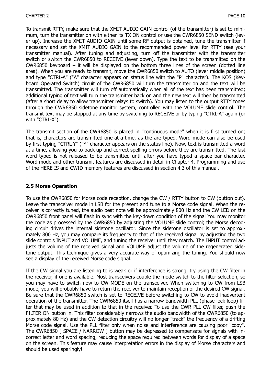To transmit RTTY, make sure that the XMIT AUDIO GAIN control (of the transmitter) is set to minimum, turn the transmitter on with either its TX ON control or use the CWR6850 SEND switch (lever up). Increase the XMIT AUDIO GAIN until some RF output is obtained, tune the transmitter if necessary and set the XMIT AUDIO GAIN to the recommended power level for RTTY (see your transmitter manual). After tuning and adjusting, turn off the transmitter with the transmitter switch or switch the CWR6850 to RECEIVE (lever down). Type the text to be transmitted on the CWR6850 keyboard – it will be displayed on the bottom three lines of the screen (dotted line area). When you are ready to transmit, move the CWR6850 switch to AUTO (lever middle position) and type "CTRL-A" ("A" character appears on status line with the "P" character). The KOS (Keyboard Operated Switch) circuit of the CWR6850 will turn the transmitter on and the text will be transmitted. The transmitter will turn off automatically when all of the text has been transmitted; additional typing of text will turn the transmitter back on and the new text will then be transmitted (after a short delay to allow transmitter relays to switch). You may listen to the output RTTY tones through the CWR6850 sidetone monitor system, controlled with the VOLUME slide control. The transmit text may be stopped at any time by switching to RECEIVE or by typing "CTRL-A" again (or with "CTRL-X").

The transmit section of the CWR6850 is placed in "continuous mode" when it is first turned on; that is, characters are transmitted one-at-a-time, as the are typed. Word mode can also be used by first typing "CTRL-Y" ("Y" character appears on the status line). Now, text is transmitted a word at a time, allowing you to back-up and correct spelling errors before they are transmitted. The last word typed is not released to be transmitted until after you have typed a space bar character. Word mode and other transmit features are discussed in detail in Chapter 4. Programming and use of the HERE IS and CWID memory features are discussed in section 4.3 of this manual.

#### **2.5 Morse Operation**

To use the CWR6850 for Morse code reception, change the CW / RTTY button to CW (button out). Leave the transceiver mode in LSB for the present and tune to a Morse code signal. When the receiver is correctly tuned, the audio beat note will be approximately 800 Hz and the CW LED on the CWR6850 front panel will flash in sync with the key-down condition of the signal You may monitor the code as processed by the CWR6850 by adjusting the VOLUME slide control; the Morse decoding circuit drives the internal sidetone oscillator. Since the sidetone oscillator is set to approximately 800 Hz, you may compare its frequency to that of the received signal by adjusting the two slide controls INPUT and VOLUME, and tuning the receiver until they match. The INPUT control adjusts the volume of the received signal and VOLUME adjust the volume of the regenerated sidetone output. This technique gives a very accurate way of optimizing the tuning. You should now see a display of the received Morse code signal.

If the CW signal you are listening to is weak or if interference is strong, try using the CW filter in the receiver, if one is available. Most transceivers couple the mode switch to the filter selection, so you may have to switch now to CW MODE on the transceiver. When switching to CW from LSB mode, you will probably have to return the receiver to maintain reception of the desired CW signal. Be sure that the CWR6850 switch is set to RECEIVE before switching to CW to avoid inadvertent operation of the transmitter. The CWR6850 itself has a narrow-bandwidth PLL (phase-lock-loop) filter that may be used in addition to that in the receiver. To use the CWR PLL CW filter, push the FILTER ON button in. This filter considerably narrows the audio bandwidth of the CWR6850 (to approximately 80 Hz) and the CW detection circuitry will no longer "track" the frequency of a drifting Morse code signal. Use the PLL filter only when noise and interference are causing poor "copy". The CWR6850 [ SPACE / NARROW ] button may be depressed to compensate for signals with incorrect letter and word spacing, reducing the space required between words for display of a space on the screen. This feature may cause interpretation errors in the display of Morse characters and should be used sparingly!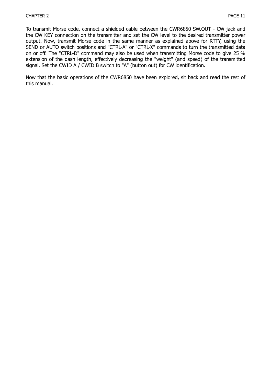To transmit Morse code, connect a shielded cable between the CWR6850 SW.OUT - CW jack and the CW KEY connection on the transmitter and set the CW level to the desired transmitter power output. Now, transmit Morse code in the same manner as explained above for RTTY, using the SEND or AUTO switch positions and "CTRL-A" or "CTRL-X" commands to turn the transmitted data on or off. The "CTRL-D" command may also be used when transmitting Morse code to give 25 % extension of the dash length, effectively decreasing the "weight" (and speed) of the transmitted signal. Set the CWID A / CWID B switch to "A" (button out) for CW identification.

Now that the basic operations of the CWR6850 have been explored, sit back and read the rest of this manual.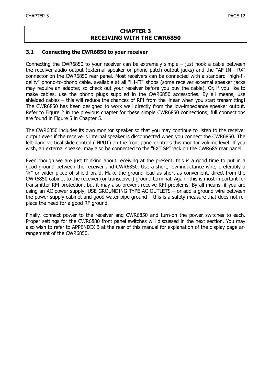#### **CHAPTER 3 RECEIVING WITH THE CWR6850**

#### **3.1 Connecting the CWR6850 to your receiver**

Connecting the CWR6850 to your receiver can be extremely simple – just hook a cable between the receiver audio output (external speaker or phone patch output jacks) and the "AF IN - RX" connector on the CWR6850 rear panel. Most receivers can be connected with a standard "high-fidelity" phono-to-phono cable, available at all "HI-FI" shops (some receiver external speaker jacks may require an adapter, so check out your receiver before you buy the cable). Or, if you like to make cables, use the phono plugs supplied in the CWR6850 accessories. By all means, use shielded cables – this will reduce the chances of RFI from the linear when you start transmitting! The CWR6850 has been designed to work well directly from the low-impedance speaker output. Refer to Figure 2 in the previous chapter for these simple CWR6850 connections; full connections are found in Figure 5 in Chapter 5.

The CWR6850 includes its own monitor speaker so that you may continue to listen to the receiver output even if the receiver's internal speaker is disconnected when you connect the CWR6850. The left-hand vertical slide control (INPUT) on the front panel controls this monitor volume level. If you wish, an external speaker may also be connected to the "EXT SP" jack on the CWR685 rear panel.

Even though we are just thinking about receiving at the present, this is a good time to put in a good ground between the receiver and CWR6850. Use a short, low-inductance wire, preferably a ¼" or wider piece of shield braid. Make the ground lead as short as convenient, direct from the CWR6850 cabinet to the receiver (or transceiver) ground terminal. Again, this is most important for transmitter RFI protection, but it may also prevent receive RFI problems. By all means, if you are using an AC power supply, USE GROUNDING TYPE AC OUTLETS – or add a ground wire between the power supply cabinet and good water-pipe ground – this is a safety measure that does not replace the need for a good RF ground.

Finally, connect power to the receiver and CWR6850 and turn-on the power switches to each. Proper settings for the CWR6880 front panel switches will discussed in the next section. You may also wish to refer to APPENDIX B at the rear of this manual for explanation of the display page arrangement of the CWR6850.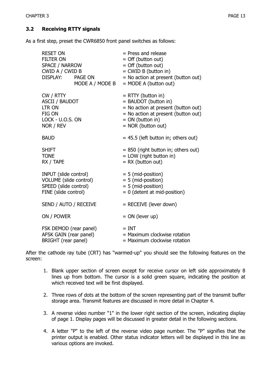As a first step, preset the CWR6850 front panel switches as follows:

| <b>RESET ON</b><br><b>FILTER ON</b><br>SPACE / NARROW<br>CWID A / CWID B                         | DISPLAY: PAGE ON<br>MODE A / MODE B | $=$ Press and release<br>= Off (button out)<br>$=$ Off (button out)<br>= CWID B (button in)<br>= No action at present (button out)<br>$=$ MODE A (button out)            |
|--------------------------------------------------------------------------------------------------|-------------------------------------|--------------------------------------------------------------------------------------------------------------------------------------------------------------------------|
| CW / RTTY<br><b>ASCII / BAUDOT</b><br><b>LTR ON</b><br>FIG ON<br>LOCK - U.O.S. ON<br>NOR / REV   |                                     | $=$ RTTY (button in)<br>= BAUDOT (button in)<br>= No action at present (button out)<br>$=$ No action at present (button out)<br>$= ON$ (button in)<br>= NOR (button out) |
| <b>BAUD</b>                                                                                      |                                     | $= 45.5$ (left button in; others out)                                                                                                                                    |
| <b>SHIFT</b><br><b>TONE</b><br>RX / TAPE                                                         |                                     | $= 850$ (right button in; others out)<br>= LOW (right button in)<br>$= RX$ (button out)                                                                                  |
| INPUT (slide control)<br>VOLUME (slide control)<br>SPEED (slide control)<br>FINE (slide control) |                                     | $= 5$ (mid-position)<br>= 5 (mid-position)<br>= 5 (mid-position)<br>$= 0$ (detent at mid-position)                                                                       |
| SEND / AUTO / RECEIVE                                                                            |                                     | = RECEIVE (lever down)                                                                                                                                                   |
| ON / POWER                                                                                       |                                     | $= ON$ (lever up)                                                                                                                                                        |
| FSK DEMOD (rear panel)<br>AFSK GAIN (rear panel)<br>BRIGHT (rear panel)                          |                                     | $= INT$<br>= Maximum clockwise rotation<br>= Maximum clockwise rotation                                                                                                  |

After the cathode ray tube (CRT) has "warmed-up" you should see the following features on the screen:

- 1. Blank upper section of screen except for receive cursor on left side approximately 8 lines up from bottom. The cursor is a solid green square, indicating the position at which received text will be first displayed.
- 2. Three rows of dots at the bottom of the screen representing part of the transmit buffer storage area. Transmit features are discussed in more detail in Chapter 4.
- 3. A reverse video number "1" in the lower right section of the screen, indicating display of page 1. Display pages will be discussed in greater detail in the following sections.
- 4. A letter "P" to the left of the reverse video page number. The "P" signifies that the printer output is enabled. Other status indicator letters will be displayed in this line as various options are invoked.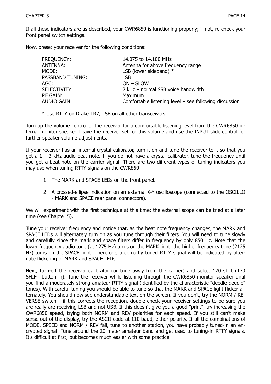If all these indicators are as described, your CWR6850 is functioning properly; if not, re-check your front panel switch settings.

Now, preset your receiver for the following conditions:

| FREQUENCY:       | 14.075 to 14.100 MHz                                     |
|------------------|----------------------------------------------------------|
| ANTENNA:         | Antenna for above frequency range                        |
| MODE:            | LSB (lower sideband) $*$                                 |
| PASSBAND TUNING: | LSB.                                                     |
| AGC:             | $ON - SLOW$                                              |
| SELECTIVITY:     | 2 kHz - normal SSB voice bandwidth                       |
| rf Gain:         | Maximum                                                  |
| AUDIO GAIN:      | Comfortable listening level $-$ see following discussion |

\* Use RTTY on Drake TR7; LSB on all other transceivers

Turn up the volume control of the receiver for a comfortable listening level from the CWR6850 internal monitor speaker. Leave the receiver set for this volume and use the INPUT slide control for further speaker volume adjustments.

If your receiver has an internal crystal calibrator, turn it on and tune the receiver to it so that you get a  $1 - 3$  kHz audio beat note. If you do not have a crystal calibrator, tune the frequency until you get a beat note on the carrier signal. There are two different types of tuning indicators you may use when tuning RTTY signals on the CWR860:

- 1. The MARK and SPACE LEDs on the front panel.
- 2. A crossed-ellipse indication on an external X-Y oscilloscope (connected to the OSCILLO - MARK and SPACE rear panel connectors).

We will experiment with the first technique at this time; the external scope can be tried at a later time (see Chapter 5).

Tune your receiver frequency and notice that, as the beat note frequency changes, the MARK and SPACE LEDs will alternately turn on as you tune through their filters. You will need to tune slowly and carefully since the mark and space filters differ in frequency by only 850 Hz. Note that the lower frequency audio tone (at 1275 Hz) turns on the MARK light; the higher frequency tone (2125 Hz) turns on the SPACE light. Therefore, a correctly tuned RTTY signal will be indicated by alternate flickering of MARK and SPACE LEDs.

Next, turn-off the receiver calibrator (or tune away from the carrier) and select 170 shift (170 SHIFT button in). Tune the receiver while listening through the CWR6850 monitor speaker until you find a moderately strong amateur RTTY signal (identified by the characteristic "deedle-deedle" tones). With careful tuning you should be able to tune so that the MARK and SPACE light flicker alternately. You should now see understandable text on the screen. If you don't, try the NORM / RE-VERSE switch – if this corrects the reception, double check your receiver settings to be sure you are really are receiving LSB and not USB. If this doesn't give you a good "print", try increasing the CWR6850 speed, trying both NORM and REV polarities for each speed. If you still can't make sense out of the display, try the ASCII code at 110 baud, either polarity. If all the combinations of MODE, SPEED and NORM / REV fail, tune to another station, you have probably tuned-in an encrypted signal! Tune around the 20 meter amateur band and get used to tuning-in RTTY signals. It's difficult at first, but becomes much easier with some practice.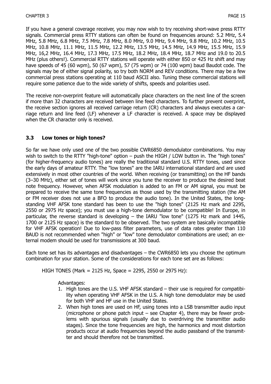If you have a general coverage receiver, you may now wish to try receiving short-wave press RTTY signals. Commercial press RTTY stations can often be found on frequencies around: 5.2 MHz, 5.4 MHz, 5.8 MHz, 6.8 MHz, 7.5 MHz, 7.8 MHz, 8.0 MHz, 9.0 MHz, 9.4 MHz, 9.8 MHz, 10.2 MHz, 10.5 MHz, 10.8 MHz, 11.1 MHz, 11.5 MHz, 12.2 MHz, 13.5 MHz, 14.5 MHz, 14.9 MHz, 15.5 MHz, 15.9 MHz, 16,2 MHz, 16.4 MHz, 17.3 MHz, 17.5 MHz, 18.2 MHz, 18.4 MHz, 18.7 MHz and 19.0 to 20.5 MHz (plus others!). Commercial RTTY stations will operate with either 850 or 425 Hz shift and may have speeds of 45 (60 wpm), 50 (67 wpm), 57 (75 wpm) or 74 (100 wpm) baud Baudot code. The signals may be of either signal polarity, so try both NORM and REV conditions. There may be a few commercial press stations operating at 110 baud ASCII also. Tuning these commercial stations will require some patience due to the wide variety of shifts, speeds and polarities used.

The receive non-overprint feature will automatically place characters on the next line of the screen if more than 32 characters are received between line feed characters. To further prevent overprint, the receive section ignores all received carriage return (CR) characters and always executes a carriage return and line feed (LF) whenever a LF character is received. A space may be displayed when the CR character only is received.

#### **3.3 Low tones or high tones?**

So far we have only used one of the two possible CWR6850 demodulator combinations. You may wish to switch to the RTTY "high-tone" option – push the HIGH / LOW button in. The "high tones" (for higher-frequency audio tones) are really the traditional standard U.S. RTTY tones, used since the early days of amateur RTTY. The "low tones" are the IARU international standard and are used extensively in most other countries of the world. When receiving (or transmitting) on the HF bands (3–30 MHz), either set of tones will work since you tune the receiver to produce the desired beat note frequency. However, when AFSK modulation is added to an FM or AM signal, you must be prepared to receive the same tone frequencies as those used by the transmitting station (the AM or FM receiver does not use a BFO to produce the audio tone). In the United States, the longstanding VHF AFSK tone standard has been to use the "high tones" (2125 Hz mark and 2295, 2550 or 2975 Hz space); you must use a high-tone demodulator to be compatible! In Europe, in particular, the reverse standard is developing – the IARU "low tone" (1275 Hz mark and 1445, 1700 or 2125 Hz space) is the standard to be observed. The two system are basically incompatible for VHF AFSK operation! Due to low-pass filter parameters, use of data rates greater than 110 BAUD is not recommended when "high" or "low" tone demodulator combinations are used; an external modem should be used for transmissions at 300 baud.

Each tone set has its advantages and disadvantages – the CWR6850 lets you choose the optimum combination for your station. Some of the considerations for each tone set are as follows:

HIGH TONES (Mark = 2125 Hz, Space = 2295, 2550 or 2975 Hz):

Advantages:

- 1. High tones are the U.S. VHF AFSK standard their use is required for compatibility when operating VHF AFSK in the U.S. A high tone demodulator may be used for both VHF and HF use in the United States.
- 2. When high tones are used on HF, using tones into a LSB transmitter audio input (microphone or phone patch input – see Chapter 4), there may be fewer problems with spurious signals (usually due to overdriving the transmitter audio stages). Since the tone frequencies are high, the harmonics and most distortion products occur at audio frequencies beyond the audio passband of the transmitter and should therefore not be transmitted.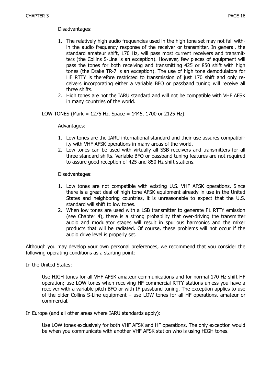Disadvantages:

- 1. The relatively high audio frequencies used in the high tone set may not fall within the audio frequency response of the receiver or transmitter. In general, the standard amateur shift, 170 Hz, will pass most current receivers and transmitters (the Collins S-Line is an exception). However, few pieces of equipment will pass the tones for both receiving and transmitting 425 or 850 shift with high tones (the Drake TR-7 is an exception). The use of high tone demodulators for HF RTTY is therefore restricted to transmission of just 170 shift and only receivers incorporating either a variable BFO or passband tuning will receive all three shifts.
- 2. High tones are not the IARU standard and will not be compatible with VHF AFSK in many countries of the world.

LOW TONES (Mark = 1275 Hz, Space = 1445, 1700 or 2125 Hz):

Advantages:

- 1. Low tones are the IARU international standard and their use assures compatibility with VHF AFSK operations in many areas of the world.
- 2. Low tones can be used with virtually all SSB receivers and transmitters for all three standard shifts. Variable BFO or passband tuning features are not required to assure good reception of 425 and 850 Hz shift stations.

Disadvantages:

- 1. Low tones are not compatible with existing U.S. VHF AFSK operations. Since there is a great deal of high tone AFSK equipment already in use in the United States and neighboring countries, it is unreasonable to expect that the U.S. standard will shift to low tones.
- 2. When low tones are used with a LSB transmitter to generate F1 RTTY emission (see Chapter 4), there is a strong probability that over-driving the transmitter audio and modulator stages will result in spurious harmonics and the mixer products that will be radiated. Of course, these problems will not occur if the audio drive level is properly set.

Although you may develop your own personal preferences, we recommend that you consider the following operating conditions as a starting point:

In the United States:

Use HIGH tones for all VHF AFSK amateur communications and for normal 170 Hz shift HF operation; use LOW tones when receiving HF commercial RTTY stations unless you have a receiver with a variable pitch BFO or with IF passband tuning. The exception applies to use of the older Collins S-Line equipment – use LOW tones for all HF operations, amateur or commercial.

In Europe (and all other areas where IARU standards apply):

Use LOW tones exclusively for both VHF AFSK and HF operations. The only exception would be when you communicate with another VHF AFSK station who is using HIGH tones.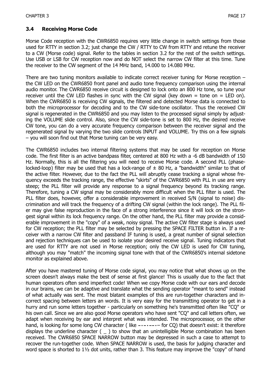#### **3.4 Receiving Morse Code**

Morse Code reception with the CWR6850 requires very little change in switch settings from those used for RTTY in section 3.2; just change the CW / RTTY to CW from RTTY and retune the receiver to a CW (Morse code) signal. Refer to the tables in section 3.2 for the rest of the switch settings. Use USB or LSB for CW reception now and do NOT select the narrow CW filter at this time. Tune the receiver to the CW segment of the 14 MHz band, 14.000 to 14.080 MHz.

There are two tuning monitors available to indicate correct receiver tuning for Morse reception – the CW LED on the CWR6850 front panel and audio tone frequency comparison using the internal audio monitor. The CWR6850 receive circuit is designed to lock onto an 800 Hz tone, so tune your receiver until the CW LED flashes in sync with the CW signal (key down = tone on = LED on). When the CWR6850 is receiving CW signals, the filtered and detected Morse data is connected to both the microprocessor for decoding and to the CW side-tone oscillator. Thus the received CW signal is regenerated in the CWR6850 and you may listen to the processed signal simply by adjusting the VOLUME slide control. Also, since the CW side-tone is set to 800 Hz, the desired receive CW tone, you can do a very accurate frequency comparison between the receiver signal and the regenerated signal by varying the two slide controls INPUT and VOLUME. Try this on a few signals – you will soon find out that Morse tuning can be very easy.

The CWR6850 includes two internal filtering systems that may be used for reception on Morse code. The first filter is an active bandpass filter, centered at 800 Hz with a -6 dB bandwidth of 150 Hz. Normally, this is all the filtering you will need to receive Morse code. A second PLL (phaselocked-loop) filter may be used that has a lock-range of  $\pm$  80 Hz, a "bandwidth" similar to that of the active filter. However, due to the fact the PLL will abruptly cease tracking a signal whose frequency exceeds the tracking range, the effective "skirts" of the CWR6850 with PLL in use are very steep; the PLL filter will provide any response to a signal frequency beyond its tracking range. Therefore, tuning a CW signal may be considerably more difficult when the PLL filter is used. The PLL filter does, however, offer a considerable improvement in received S/N (signal to noise) discrimination and will track the frequency of a drifting CW signal (within the lock range). The PLL filer may give false reproduction in the face of a strong interference since it will lock on the strongest signal within its lock frequency range. On the other hand, the PLL filter may provide a considerable improvement in the "copy" of a weak, noisy signal. The active CW filter stage is always used for CW reception; the PLL filter may be selected by pressing the SPACE FILTER button in. If a receiver with a narrow CW filter and passband IF tuning is used, a great number of signal selection and rejection techniques can be used to isolate your desired receive signal. Tuning indicators that are used for RTTY are not used in Morse reception; only the CW LED is used for CW tuning, although you may "match" the incoming signal tone with that of the CWR6850's internal sidetone monitor as explained above.

After you have mastered tuning of Morse code signal, you may notice that what shows up on the screen doesn't always make the best of sense at first glance! This is usually due to the fact that human operators often send imperfect code! When we copy Morse code with our ears and decode in our brains, we can be adaptive and translate what the sending operator "meant to send" instead of what actually was sent. The most blatant examples of this are run-together characters and incorrect spacing between letters an words. It is very easy for the transmitting operator to get in a hurry and run some letters together - particularly on something he's transmitted often like "CQ" or his own call. Since we are also good Morse operators who have sent "CQ" and call letters often, we adapt when receiving by ear and interpret what was intended. The microprocessor, on the other hand, is looking for some long CW character (like -------- for CQ) that doesn't exist: it therefore displays the underline character ( $\overline{\phantom{a}}$ ) to show that an unintelligible Morse combination has been received. The CWR6850 SPACE NARROW button may be depressed in such a case to attempt to recover the run-together code. When SPACE NARROW is used, the basis for judging character and word space is shorted to 1½ dot units, rather than 3. This feature may improve the "copy" of hand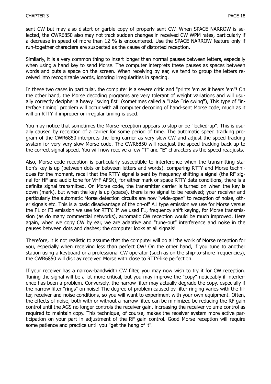sent CW but may also distort or garble copy of properly sent CW. When SPACE NARROW is selected, the CWR6850 also may not track sudden changes in received CW WPM rates, particularly if a decrease in speed of more than 12 % is encountered. Use the SPACE NARROW feature only if run-together characters are suspected as the cause of distorted reception.

Similarly, it is a very common thing to insert longer than normal pauses between letters, especially when using a hand key to send Morse. The computer interprets these pauses as spaces between words and puts a space on the screen. When receiving by ear, we tend to group the letters received into recognizable words, ignoring irregularities in spacing.

In these two cases in particular, the computer is a severe critic and "prints 'em as it hears 'em"! On the other hand, the Morse decoding programs are very tolerant of weight variations and will usually correctly decipher a heavy "swing fist" (sometimes called a "Lake Erie swing"), This type of "interface timing" problem will occur with all computer decoding of hand-sent Morse code, much as it will on RTTY if improper or irregular timing is used.

You may notice that sometimes the Morse reception appears to stop or be "locked-up". This is usually caused by reception of a carrier for some period of time. The automatic speed tracking program of the CWR6850 interprets the long carrier as very slow CW and adjust the speed tracking system for very very slow Morse code. The CWR6850 will readjust the speed tracking back up to the correct signal speed. You will now receive a few "T" and "E" characters as the speed readjusts.

Also, Morse code reception is particularly susceptible to interference when the transmitting station's key is up (between dots or between letters and words). comparing RTTY and Morse techniques for the moment, recall that the RTTY signal is sent by frequency shifting a signal (the RF signal for HF and audio tone for VHF AFSK), for either mark or space RTTY data conditions, there is a definite signal transmitted. On Morse code, the transmitter carrier is turned on when the key is down (mark), but when the key is up (space), there is no signal to be received; your receiver and particularly the automatic Morse detection circuits are now "wide-open" to reception of noise, other signals etc. This is a basic disadvantage of the on-off A1 type emission we use for Morse versus the F1 or F3 emission we use for RTTY. If we used F1, frequency shift keying, for Morse transmission (as do many commercial networks), automatic CW reception would be much improved. Here again, when we copy CW by ear, we are adaptive and "tune-out" interference and noise in the pauses between dots and dashes; the computer looks at all signals!

Therefore, it is not realistic to assume that the computer will do all the work of Morse reception for you, especially when receiving less than perfect CW! On the other hand, if you tune to another station using a keyboard or a professional CW operator (such as on the ship-to-shore frequencies), the CWR6850 will display received Morse with close to RTTY-like perfection.

If your receiver has a narrow-bandwidth CW filter, you may now wish to try it for CW reception. Tuning the signal will be a lot more critical, but you may improve the "copy" noticeably if interference has been a problem. Conversely, the narrow filter may actually degrade the copy, especially if the narrow filter "rings" on noise! The degree of problem caused by filter ringing varies with the filter, receiver and noise conditions, so you will want to experiment with your own equipment. Often, the effects of noise, both with or without a narrow filter, can be minimized be reducing the RF gain control until the AGS no longer controls the receiver gain, increasing the receiver volume control as required to maintain copy. This technique, of course, makes the receiver system more active participation on your part in adjustment of the RF gain control. Good Morse reception will require some patience and practice until you "get the hang of it".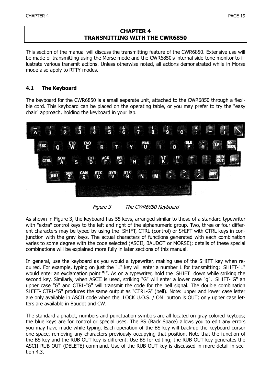#### **CHAPTER 4 TRANSMITTING WITH THE CWR6850**

This section of the manual will discuss the transmitting feature of the CWR6850. Extensive use will be made of transmitting using the Morse mode and the CWR6850's internal side-tone monitor to illustrate various transmit actions. Unless otherwise noted, all actions demonstrated while in Morse mode also apply to RTTY modes.

#### **4.1 The Keyboard**

The keyboard for the CWR6850 is a small separate unit, attached to the CWR6850 through a flexible cord. This keyboard can be placed on the operating table, or you may prefer to try the "easy chair" approach, holding the keyboard in your lap.



Figure 3 The CWR6850 Keyboard

As shown in Figure 3, the keyboard has 55 keys, arranged similar to those of a standard typewriter with "extra" control keys to the left and right of the alphanumeric group. Two, three or four different characters may be typed by using the SHIFT, CTRL (control) or SHIFT with CTRL keys in conjunction with the gray keys. The actual characters of functions generated with each combination varies to some degree with the code selected (ASCII, BAUDOT or MORSE); details of these special combinations will be explained more fully in later sections of this manual.

In general, use the keyboard as you would a typewriter, making use of the SHIFT key when required. For example, typing on just the "1" key will enter a number 1 for transmitting; SHIFT-"1" would enter an exclamation point "!". As on a typewriter, hold the SHIFT down while striking the second key. Similarly, when ASCII is used, striking "G" will enter a lower case "g", SHIFT-"G" an upper case "G" and CTRL-"G" will transmit the code for the bell signal. The double combination SHIFT- CTRL-"G" produces the same output as "CTRL-G" (bell). Note: upper and lower case letter are only available in ASCII code when the LOCK U.O.S. / ON button is OUT; only upper case letters are available in Baudot and CW.

The standard alphabet, numbers and punctuation symbols are all located on gray colored keytops; the blue keys are for control or special uses. The BS (Back Space) allows you to edit any errors you may have made while typing. Each operation of the BS key will back-up the keyboard cursor one space, removing any characters previously occupying that position. Note that the function of the BS key and the RUB OUT key is different. Use BS for editing; the RUB OUT key generates the ASCII RUB OUT (DELETE) command. Use of the RUB OUT key is discussed in more detail in section 4.3.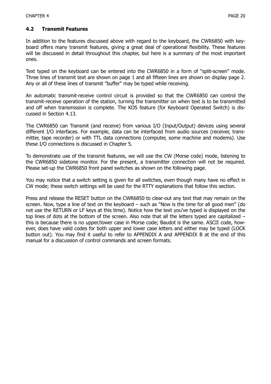#### **4.2 Transmit Features**

In addition to the features discussed above with regard to the keyboard, the CWR6850 with keyboard offers many transmit features, giving a great deal of operational flexibility. These features will be discussed in detail throughout this chapter, but here is a summary of the most important ones.

Text typed on the keyboard can be entered into the CWR6850 in a form of "split-screen" mode. Three lines of transmit text are shown on page 1 and all fifteen lines are shown on display page 2. Any or all of these lines of transmit "buffer" may be typed while receiving.

An automatic transmit-receive control circuit is provided so that the CWR6850 can control the transmit-receive operation of the station, turning the transmitter on when text is to be transmitted and off when transmission is complete. The KOS feature (for Keyboard Operated Switch) is discussed in Section 4.13.

The CWR6850 can Transmit (and receive) from various I/O (Input/Output) devices using several different I/O interfaces. For example, data can be interfaced from audio sources (receiver, transmitter, tape recorder) or with TTL data connections (computer, some machine and modems). Use these I/O connections is discussed in Chapter 5.

To demonstrate use of the transmit features, we will use the CW (Morse code) mode, listening to the CWR6850 sidetone monitor. For the present, a transmitter connection will not be required. Please set-up the CWR6850 front panel switches as shown on the following page.

You may notice that a switch setting is given for all switches, even though many have no effect in CW mode; these switch settings will be used for the RTTY explanations that follow this section.

Press and release the RESET button on the CWR6850 to clear-out any text that may remain on the screen. Now, type a line of text on the keyboard – such as "Now is the time for all good men" (do not use the RETURN or LF keys at this time). Notice how the text you've typed is displayed on the top lines of dots at the bottom of the screen. Also note that all the letters typed are capitalized – this is because there is no upper/lower case in Morse code; Baudot is the same. ASCII code, however, does have valid codes for both upper and lower case letters and either may be typed (LOCK button out). You may find it useful to refer to APPENDIX A and APPENDIX B at the end of this manual for a discussion of control commands and screen formats.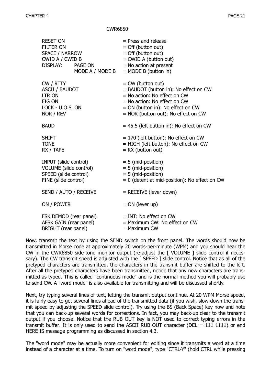#### CWR6850

| <b>RESET ON</b><br><b>FILTER ON</b><br>SPACE / NARROW<br>CWID A / CWID B                         | DISPLAY: PAGE ON<br>MODE A / MODE B | $=$ Press and release<br>$=$ Off (button out)<br>$=$ Off (button out)<br>= CWID A (button out)<br>$=$ No action at present<br>$=$ MODE B (button in)                                                           |
|--------------------------------------------------------------------------------------------------|-------------------------------------|----------------------------------------------------------------------------------------------------------------------------------------------------------------------------------------------------------------|
| CW / RTTY<br><b>ASCII / BAUDOT</b><br><b>LTR ON</b><br>FIG ON<br>LOCK - U.O.S. ON<br>NOR / REV   |                                     | $=$ CW (button out)<br>= BAUDOT (button in): No effect on CW<br>$=$ No action: No effect on CW<br>$=$ No action: No effect on CW<br>$= ON$ (button in): No effect on CW<br>= NOR (button out): No effect on CW |
| <b>BAUD</b>                                                                                      |                                     | $= 45.5$ (left button in): No effect on CW                                                                                                                                                                     |
| <b>SHIFT</b><br><b>TONE</b><br>RX / TAPE                                                         |                                     | $= 170$ (left button): No effect on CW<br>= HIGH (left button): No effect on CW<br>$= RX$ (button out)                                                                                                         |
| INPUT (slide control)<br>VOLUME (slide control)<br>SPEED (slide control)<br>FINE (slide control) |                                     | $= 5$ (mid-position)<br>$= 5$ (mid-position)<br>$= 5$ (mid-position)<br>$= 0$ (detent at mid-position): No effect on CW                                                                                        |
| SEND / AUTO / RECEIVE                                                                            |                                     | $=$ RECEIVE (lever down)                                                                                                                                                                                       |
| ON / POWER                                                                                       |                                     | $= ON$ (lever up)                                                                                                                                                                                              |
| FSK DEMOD (rear panel)<br>AFSK GAIN (rear panel)<br>BRIGHT (rear panel)                          |                                     | $=$ INT: No effect on CW<br>= Maximum CW: No effect on CW<br>$=$ Maximum CW                                                                                                                                    |

Now, transmit the text by using the SEND switch on the front panel. The words should now be transmitted in Morse code at approximately 20 words-per-minute (WPM) and you should hear the CW in the CWR6850 side-tone monitor output (re-adjust the [ VOLUME ] slide control if necessary). The CW transmit speed is adjusted with the [ SPEED ] slide control. Notice that as all of the pretyped characters are transmitted, the characters in the transmit buffer are shifted to the left. After all the pretyped characters have been transmitted, notice that any new characters are transmitted as typed. This is called "continuous mode" and is the normal method you will probably use to send CW. A "word mode" is also available for transmitting and will be discussed shortly.

Next, try typing several lines of text, letting the transmit output continue. At 20 WPM Morse speed, it is fairly easy to get several lines ahead of the transmitted data (if you wish, slow-down the transmit speed by adjusting the SPEED slide control). Try using the BS (Back Space) key now and note that you can back-up several words for corrections. In fact, you may back-up clear to the transmit output if you choose. Notice that the RUB OUT key is NOT used to correct typing errors in the transmit buffer. It is only used to send the ASCII RUB OUT character (DEL =  $111$  1111) or end HERE IS message programming as discussed in section 4.3.

The "word mode" may be actually more convenient for editing since it transmits a word at a time instead of a character at a time. To turn on "word mode", type "CTRL-Y" (hold CTRL while pressing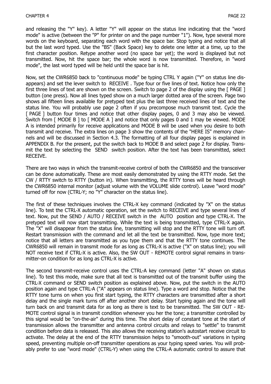and releasing the "Y" key). A letter "Y" will appear on the status line indicating that the "word mode" is active (between the "P" for printer on and the page number "1"). Now, type several more words on the keyboard, separating each word with the space bar. Stop typing and notice that all but the last word typed. Use the "BS" (Back Space) key to delete one letter at a time, up to the first character position. Retype another word (no space bar yet); the word is displayed but not transmitted. Now, hit the space bar; the whole word is now transmitted. Therefore, in "word mode", the last word typed will be held until the space bar is hit.

Now, set the CWR6850 back to "continuous mode" be typing CTRL Y again ("Y" on status line disappears) and set the lever switch to RECEIVE . Type four or five lines of text. Notice how only the first three lines of text are shown on the screen. Switch to page 2 of the display using the [ PAGE ] button (one press). Now all lines typed show on a much larger dotted area of the screen. Page two shows all fifteen lines available for pretyped text plus the last three received lines of text and the status line. You will probably use page 2 often if you precompose much transmit text. Cycle the [ PAGE ] button four times and notice that other display pages, 0 and 3 may also be viewed. Switch from [ MODE B ] to [ MODE A ] and notice that only pages 0 and 1 may be viewed. MODE A is intended primarily for receive applications and MODE B will be used when you desire to both transmit and receive. The extra lines on page 3 show the contents of the "HERE IS" memory channels and will be discussed in Section 4.3. The formatting of all four display pages is explained in APPENDIX B. For the present, put the switch back to MODE B and select page 2 for display. Transmit the text by selecting the SEND switch position. After the text has been transmitted, select RECEIVE.

There are two ways in which the transmit-receive control of both the CWR6850 and the transceiver can be done automatically. These are most easily demonstrated by using the RTTY mode. Set the CW / RTTY switch to RTTY (button in). When transmitting, the RTTY tones will be heard through the CWR6850 internal monitor (adjust volume with the VOLUME slide control). Leave "word mode" turned off for now (CTRL-Y; no "Y" character on the status line).

The first of these techniques involves the CTRL-X key command (indicated by "X" on the status line). To test the CTRL-X automatic operation, set the switch to RECEIVE and type several lines of text. Now, put the SEND / AUTO / RECEIVE switch in the AUTO position and type CTRL-X. The pretyped text will now start transmitting. While the text is being transmitted, type CTRL-X again. The "X" will disappear from the status line, transmitting will stop and the RTTY tone will turn off. Restart transmission with the command and let all the text be transmitted. Now, type more text; notice that all letters are transmitted as you type them and that the RTTY tone continues. The CWR6850 will remain in transmit mode for as long as CTRL-X is active ("X" on status line); you will NOT receive text if CTRL-X is active. Also, the SW OUT - REMOTE control signal remains in transmitter-on condition for as long as CTRL-X is active.

The second transmit-receive control uses the CTRL-A key command (letter "A" shown on status line). To test this mode, make sure that all text is transmitted out of the transmit buffer using the CTRL-X command or SEND switch position as explained above. Now, put the switch in the AUTO position again and type CTRL-A ("A" appears on status line). Type a word and stop. Notice that the RTTY tone turns on when you first start typing, the RTTY characters are transmitted after a short delay and the single mark turns off after another short delay. Start typing again and the tone will turn back on and transmit data for as long as there is text to be transmitted. The SW OUT - RE-MOTE control signal is in transmit condition whenever you her the tone; a transmitter controlled by this signal would be "on-the-air" during this time. The short delay of constant tone at the start of transmission allows the transmitter and antenna control circuits and relays to "settle" to transmit condition before data is released. This also allows the receiving station's autostart receive circuit to activate. The delay at the end of the RTTY transmission helps to "smooth-out" variations in typing speed, preventing multiple on-off transmitter operations as your typing speed varies. You will probably prefer to use "word mode" (CTRL-Y) when using the CTRL-A automatic control to assure that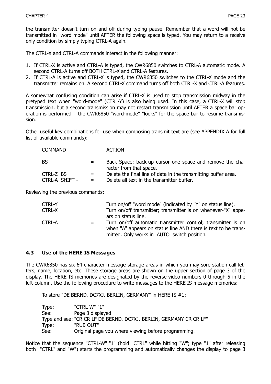the transmitter doesn't turn on and off during typing pause. Remember that a word will not be transmitted in "word mode" until AFTER the following space is typed. You may return to a receive only condition by simply typing CTRL-A again.

The CTRL-X and CTRL-A commands interact in the following manner:

- 1. If CTRL-X is active and CTRL-A is typed, the CWR6850 switches to CTRL-A automatic mode. A second CTRL-A turns off BOTH CTRL-X and CTRL-A features.
- 2. If CTRL-A is active and CTRL-X is typed, the CWR6850 switches to the CTRL-X mode and the transmitter remains on. A second CTRL-X command turns off both CTRL-X and CTRL-A features.

A somewhat confusing condition can arise if CTRL-X is used to stop transmission midway in the pretyped text when "word-mode" (CTRL-Y) is also being used. In this case, a CTRL-X will stop transmission, but a second transmission may not restart transmission until AFTER a space bar operation is performed – the CWR6850 "word-mode" "looks" for the space bar to resume transmission.

Other useful key combinations for use when composing transmit text are (see APPENDIX A for full list of available commands):

| COMMAND        |     | <b>ACTION</b>                                                                       |
|----------------|-----|-------------------------------------------------------------------------------------|
| -BS            | $=$ | Back Space: back-up cursor one space and remove the cha-<br>racter from that space. |
| CTRL-Z BS      | $=$ | Delete the final line of data in the transmitting buffer area.                      |
| CTRL-A SHIFT - |     | Delete all text in the transmitter buffer.                                          |

Reviewing the previous commands:

| <b>CTRL-Y</b> | $=$ | Turn on/off "word mode" (indicated by "Y" on status line).                                                                                                                    |
|---------------|-----|-------------------------------------------------------------------------------------------------------------------------------------------------------------------------------|
| <b>CTRL-X</b> | $=$ | Turn on/off transmitter; transmitter is on whenever-"X" appe-<br>ars on status line.                                                                                          |
| <b>CTRL-A</b> | $=$ | Turn on/off automatic transmitter control; transmitter is on<br>when "A" appears on status line AND there is text to be trans-<br>mitted. Only works in AUTO switch position. |

#### **4.3 Use of the HERE IS Messages**

The CWR6850 has six 64 character message storage areas in which you may sore station call letters, name, location, etc. These storage areas are shown on the upper section of page 3 of the display. The HERE IS memories are designated by the reverse-video numbers 0 through 5 in the left-column. Use the following procedure to write messages to the HERE IS message memories:

To store "DE BERND, DC7XJ, BERLIN, GERMANY" in HERE IS #1:

| Type: | "CTRL W" "1"                                                       |
|-------|--------------------------------------------------------------------|
| See:  | Page 3 displayed                                                   |
|       | Type and see: "CR CR LF DE BERND, DC7XJ, BERLIN, GERMANY CR CR LF" |
| Type: | "RUB OUT"                                                          |
| See:  | Original page you where viewing before programming.                |

Notice that the sequence "CTRL-W":"1" (hold "CTRL" while hitting "W"; type "1" after releasing both "CTRL" and "W") starts the programming and automatically changes the display to page 3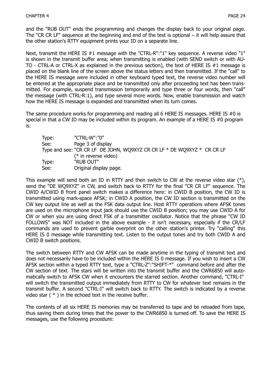and the "RUB OUT" ends the programming and changes the display back to your original page. The "CR CR LF" sequence at the beginning and end of the text is optional – it will help assure that the other station's RTTY equipment prints your ID on a separate line.

Next, transmit the HERE IS #1 message with the "CTRL-R":"1" key sequence. A reverse video "1" is shown in the transmit buffer area; when transmitting is enabled (with SEND switch or with AU-TO - CTRL-A or CTRL-X as explained in the previous section), the text of HERE IS #1 message is placed on the blank line of the screen above the status letters and then transmitted. If the "call" to the HERE IS message were included in other keyboard typed text, the reverse video number will be entered at the appropriate place and be transmitted only after proceeding text has been transmitted. For example, suspend transmission temporarily and type three or four words, then "call" the message (with CTRL-R:1), and type several more words. Now, enable transmission and watch how the HERE IS message is expanded and transmitted when its turn comes.

The same procedure works for programming and reading all 6 HERE IS messages. HERE IS #0 is special in that a CW ID may be included within its program. An example of a HERE IS #0 program is:

| Type: | "CTRL-W":"0"                                                                |
|-------|-----------------------------------------------------------------------------|
| See:  | Page 3 of display                                                           |
|       | Type and see: "CR CR LF DE JOHN, WQ9XYZ CR CR LF $*$ DE WQ9XYZ $*$ CR CR LF |
|       | $(*$ in reverse video)                                                      |
| Type: | "RUB OUT"                                                                   |
| See:  | Original display page.                                                      |

This example will send both an ID in RTTY and then switch to CW at the reverse video star  $(*)$ , send the "DE WQ9XYZ" in CW, and switch back to RTTY for the final "CR CR LF" sequence. The CWID A/CWID B front panel switch makes a difference here: in CWID B position, the CW ID is transmitted using mark-space AFSK; in CWID A position, the CW ID section is transmitted on the CW key output line as well as the FSK data output line. Host RTTY operations where AFSK tones are used on the microphone input jack should use the CWID B position; you may use CWID A for CW or when you are using direct FSK of a transmitter oscillator. Notice that the phrase "CW ID FOLLOWS" was NOT included in the above example - it isn't necessary, especially if the CR/LF commands are used to prevent garble overprint on the other station's printer. Try "calling" this HERE IS 0 message while transmitting text. Listen to the output tones and try both CWID A and CWID B switch positions.

The switch between RTTY and CW AFSK can be made anytime in the typing of transmit text and does not necessarily have to be included within the HERE IS 0 message. If you wish to insert a CW AFSK section within a typed RTTY text, type a "CTRL-Z":"SHIFT-\*" command before and after the CW section of text. The stars will be written into the transmit buffer and the CWR6850 will automatically switch to AFSK CW when it encounters the starred section. Another command, "CTRL-I" will switch the transmitted output immediately from RTTY to CW for whatever text remains in the transmit buffer. A second "CTRL-I" will switch back to RTTY. The switch is indicated by a reverse video star ( \* ) in the echoed text in the receive buffer.

The contents of all six HERE IS memories may be transferred to tape and be reloaded from tape, thus saving them during times that the power to the CWR6850 is turned off. To save the HERE IS messages, use the following procedure: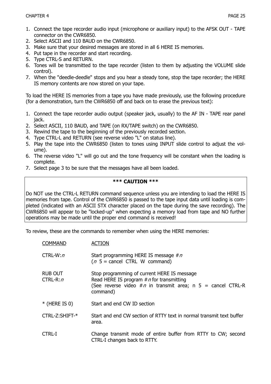- 1. Connect the tape recorder audio input (microphone or auxiliary input) to the AFSK OUT TAPE connector on the CWR6850.
- 2. Select ASCII and 110 BAUD on the CWR6850.
- 3. Make sure that your desired messages are stored in all 6 HERE IS memories.
- 4. Put tape in the recorder and start recording.
- 5. Type CTRL-S and RETURN.
- 6. Tones will be transmitted to the tape recorder (listen to them by adjusting the VOLUME slide control).
- 7. When the "deedle-deedle" stops and you hear a steady tone, stop the tape recorder; the HERE IS memory contents are now stored on your tape.

To load the HERE IS memories from a tape you have made previously, use the following procedure (for a demonstration, turn the CWR6850 off and back on to erase the previous text):

- 1. Connect the tape recorder audio output (speaker jack, usually) to the AF IN TAPE rear panel jack.
- 2. Select ASCII, 110 BAUD, and TAPE (on RX/TAPE switch) on the CWR6850.
- 3. Rewind the tape to the beginning of the previously recorded section.
- 4. Type CTRL-L and RETURN (see reverse video "L" on status line).
- 5. Play the tape into the CWR6850 (listen to tones using INPUT slide control to adjust the volume).
- 6. The reverse video "L" will go out and the tone frequency will be constant when the loading is complete.
- 7. Select page 3 to be sure that the messages have all been loaded.

#### **\*\*\* CAUTION \*\*\***

Do NOT use the CTRL-L RETURN command sequence unless you are intending to load the HERE IS memories from tape. Control of the CWR6850 is passed to the tape input data until loading is completed (indicated with an ASCII STX character placed on the tape during the save recording). The CWR6850 will appear to be "locked-up" when expecting a memory load from tape and NO further operations may be made until the proper end command is received!

To review, these are the commands to remember when using the HERE memories:

| <b>COMMAND</b>                | ACTION                                                                                                                                                                   |
|-------------------------------|--------------------------------------------------------------------------------------------------------------------------------------------------------------------------|
| $CTRL-W: n$                   | Start programming HERE IS message $\#n$<br>$(n 5 = \text{cancel CTRL W command})$                                                                                        |
| <b>RUB OUT</b><br>$CTRL-R: n$ | Stop programming of current HERE IS message<br>Read HERE IS program $\#n$ for transmitting<br>(See reverse video $\#n$ in transmit area; n 5 = cancel CTRL-R<br>command) |
| $*$ (HERE IS 0)               | Start and end CW ID section                                                                                                                                              |
| CTRL-Z:SHIFT-*                | Start and end CW section of RTTY text in normal transmit text buffer<br>area.                                                                                            |
| CTRL-I                        | Change transmit mode of entire buffer from RTTY to CW; second<br>CTRL-I changes back to RTTY.                                                                            |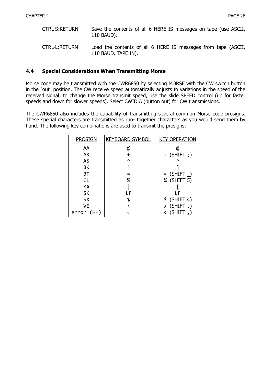| <b>CTRL-S:RETURN</b> | Save the contents of all 6 HERE IS messages on tape (use ASCII,<br>110 BAUD).        |
|----------------------|--------------------------------------------------------------------------------------|
| CTRL-L:RETURN        | Load the contents of all 6 HERE IS messages from tape (ASCII,<br>110 BAUD, TAPE IN). |

#### **4.4 Special Considerations When Transmitting Morse**

Morse code may be transmitted with the CWR6850 by selecting MORSE with the CW switch button in the "out" position. The CW receive speed automatically adjusts to variations in the speed of the received signal; to change the Morse transmit speed, use the slide SPEED control (up for faster speeds and down for slower speeds). Select CWID A (button out) for CW transmissions.

The CWR6850 also includes the capability of transmitting several common Morse code prosigns. These special characters are transmitted as run- together characters as you would send them by hand. The following key combinations are used to transmit the prosigns:

| <b>PROSIGN</b> | <b>KEYBOARD SYMBOL</b> | <b>KEY OPERATION</b> |
|----------------|------------------------|----------------------|
| AA             | @                      | (a)                  |
| <b>AR</b>      | $\div$                 | $+$ (SHIFT ; )       |
| AS             | Λ                      | $\lambda$            |
| BK             |                        |                      |
| ВT             |                        | $=$ (SHIFT $\_$ )    |
| <b>CL</b>      | ℅                      | % (SHIFT 5)          |
| KA             |                        |                      |
| <b>SK</b>      | LF                     | ΙF                   |
| <b>SX</b>      |                        | $$$ (SHIFT 4)        |
| VE             |                        | $>$ (SHIFT .)        |
| error (HH)     |                        | $\langle$ (SHIFT,)   |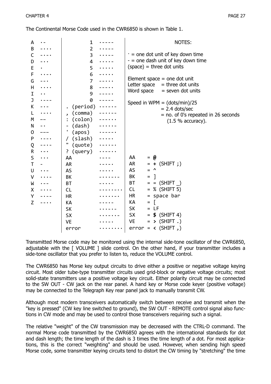The Continental Morse Code used in the CWR6850 is shown in Table 1.

| A |          | 1              | NOTES:                                             |
|---|----------|----------------|----------------------------------------------------|
| В |          | $\overline{2}$ |                                                    |
| C |          | 3              | $\cdot$ = one dot unit of key down time            |
| D |          | 4              | $-$ = one dash unit of key down time               |
| Ε |          | 5              | $(space) = three dot units$                        |
| F |          | 6              |                                                    |
| G |          | $\overline{7}$ | Element space $=$ one dot unit                     |
| Η |          | 8              | Letter space $=$ three dot units                   |
| I |          | 9              | Word space<br>$=$ seven dot units                  |
| J |          | 0              |                                                    |
| К |          | (period)       | Speed in WPM = $(dots/min)/25$<br>$= 2.4$ dots/sec |
| L |          | (comma)        | = no. of 0's repeated in 26 seconds                |
| M |          | (colon)        | $(1.5 %$ accuracy).                                |
| N |          | (dash)         |                                                    |
| 0 |          | ٠<br>(apos)    |                                                    |
| P |          | $(s$ lash $)$  |                                                    |
| Q |          | Ш<br>(quote)   |                                                    |
| R |          | (query)<br>?   |                                                    |
| S | $\cdots$ | AA             | AA<br>$= 0$                                        |
| T |          | <b>AR</b>      | $= + (SHIFT ; )$<br>AR                             |
| U |          | AS             | AS<br>$\lambda$<br>$=$                             |
| v |          | <b>BK</b>      | BK<br>$\mathbf{I}$<br>$\qquad \qquad =$            |
| W |          | <b>BT</b>      | $=$ = (SHIFT)<br>BT                                |
| X |          | CL             | $=$ % (SHIFT 5)<br><b>CL</b>                       |
| Υ |          | <b>HR</b>      | = space bar<br>HR                                  |
| Z |          | KА             | КA<br>$=$                                          |
|   |          | <b>SK</b>      | SK<br>$=$ LF                                       |
|   |          | <b>SX</b>      | $=$ \$ (SHIFT 4)<br>SX.                            |
|   |          | <b>VE</b>      | $=$ > (SHIFT.)<br>VE                               |
|   |          | error          | error = $\langle$ (SHIFT ,)                        |
|   |          |                |                                                    |

Transmitted Morse code may be monitored using the internal side-tone oscillator of the CWR6850, adjustable with the [ VOLUME ] slide control. On the other hand, if your transmitter includes a side-tone oscillator that you prefer to listen to, reduce the VOLUME control.

The CWR6850 has Morse key output circuits to drive either a positive or negative voltage keying circuit. Most older tube-type transmitter circuits used grid-block or negative voltage circuits; most solid-state transmitters use a positive voltage key circuit. Either polarity circuit may be connected to the SW OUT - CW jack on the rear panel. A hand key or Morse code keyer (positive voltage) may be connected to the Telegraph Key rear panel jack to manually transmit CW.

Although most modern transceivers automatically switch between receive and transmit when the "key is pressed" (CW key line switched to ground), the SW OUT - REMOTE control signal also functions in CW mode and may be used to control those transceivers requiring such a signal.

The relative "weight" of the CW transmission may be decreased with the CTRL-D command. The normal Morse code transmitted by the CWR6850 agrees with the international standards for dot and dash length; the time length of the dash is 3 times the time length of a dot. For most applications, this is the correct "weighting" and should be used. However, when sending high speed Morse code, some transmitter keying circuits tend to distort the CW timing by "stretching" the time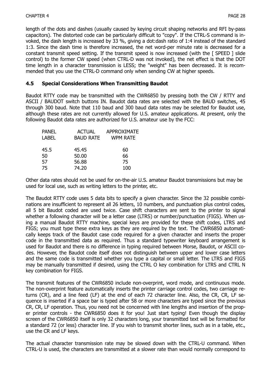length of the dots and dashes (usually caused by keying circuit shaping networks and RFI by-pass capacitors). The distorted code can be particularly difficult to "copy". If the CTRL-S command is invoked, the dash length is increased by 33 %, giving a dot:dash ratio of 1:4 instead of the standard 1:3. Since the dash time is therefore increased, the net word-per minute rate is decreased for a constant transmit speed setting. If the transmit speed is now increased (with the [ SPEED ] slide control) to the former CW speed (when CTRL-D was not invoked), the net effect is that the DOT time length in a character transmission is LESS; the "weight" has been decreased. It is recommended that you use the CTRL-D command only when sending CW at higher speeds.

#### **4.5 Special Considerations When Transmitting Baudot**

Baudot RTTY code may be transmitted with the CWR6850 by pressing both the CW / RTTY and ASCII / BAUDOT switch buttons IN. Baudot data rates are selected with the BAUD switches, 45 through 300 baud. Note that 110 baud and 300 baud data rates may be selected for Baudot use, although these rates are not currently allowed for U.S. amateur applications. At present, only the following Baudot data rates are authorized for U.S. amateur use by the FCC:

| <b>PANEL</b> | <b>ACTUAL</b>    | APPROXIMATE     |
|--------------|------------------|-----------------|
| <b>LABEL</b> | <b>BAUD RATE</b> | <b>WPM RATE</b> |
|              |                  |                 |
| 45.5         | 45.45            | 60              |
| 50           | 50.00            | 66              |
| 57           | 56.88            | 75              |
| 75           | 74.20            | 100             |
|              |                  |                 |

Other data rates should not be used for on-the-air U.S. amateur Baudot transmissions but may be used for local use, such as writing letters to the printer, etc.

The Baudot RTTY code uses 5 data bits to specify a given character. Since the 32 possible combinations are insufficient to represent all 26 letters, 10 numbers, and punctuation plus control codes, all 5 bit Baudot coded are used twice. Case shift characters are sent to the printer to signal whether a following character will be a letter case (LTRS) or number/punctuation (FIGS). When using a manual Baudot RTTY machine, special keys are provided for these shift codes, LTRS and FIGS; you must type these extra keys as they are required by the text. The CWR6850 automatically keeps track of the Baudot case code required for a given character and inserts the proper code in the transmitted data as required. Thus a standard typewriter keyboard arrangement is used for Baudot and there is no difference in typing required between Morse, Baudot, or ASCII codes. However, the Baudot code itself does not distinguish between upper and lower case letters and the same code is transmitted whether you type a capital or small letter. The LTRS and FIGS may be manually transmitted if desired, using the CTRL O key combination for LTRS and CTRL N key combination for FIGS.

The transmit features of the CWR6850 include non-overprint, word mode, and continuous mode. The non-overprint feature automatically inserts the printer carriage control codes, two carriage returns (CR), and a line feed (LF) at the end of each 72 character line. Also, the CR, CR, LF sequence is inserted if a space bar is typed after 58 or more characters are typed since the previous CR, CR, LF operation. Thus, you need not be concerned with line lengths and insertion of the proper printer controls - the CWR6850 does it for you! Just start typing! Even though the display screen of the CWR6850 itself is only 32 characters long, your transmitted text will be formatted for a standard 72 (or less) character line. If you wish to transmit shorter lines, such as in a table, etc., use the CR and LF keys.

The actual character transmission rate may be slowed down with the CTRL-U command. When CTRL-U is used, the characters are transmitted at a slower rate than would normally correspond to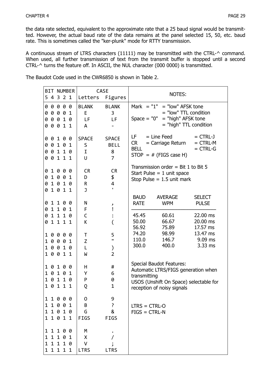the data rate selected, equivalent to the approximate rate that a 25 baud signal would be transmitted. However, the actual baud rate of the data remains at the panel selected 15, 50, etc. baud rate. This is sometimes called the "ker-plunk" mode for RTTY transmission.

A continuous stream of LTRS characters (11111) may be transmitted with the CTRL-^ command. When used, all further transmission of text from the transmit buffer is stopped until a second CTRL-^ turns the feature off. In ASCII, the NUL character (000 0000) is transmitted.

|             |                                   | <b>BIT NUMBER</b> |                                 | <b>CASE</b>                                        | NOTES:                                                                                                                                                                                                                                                                                                                                                            |
|-------------|-----------------------------------|-------------------|---------------------------------|----------------------------------------------------|-------------------------------------------------------------------------------------------------------------------------------------------------------------------------------------------------------------------------------------------------------------------------------------------------------------------------------------------------------------------|
|             | 5 4 3 2 1                         |                   | Letters Figures                 |                                                    |                                                                                                                                                                                                                                                                                                                                                                   |
|             | 00000<br>00001<br>00010<br>00011  |                   | <b>BLANK</b><br>E<br>LF<br>A    | <b>BLANK</b><br>3<br>LF                            | Mark $= "1" = "low"$ AFSK tone<br>= "low" TTL condition<br>Space = $"0" = "high"$ AFSK tone<br>= "high" TTL condition                                                                                                                                                                                                                                             |
|             | 00100<br>00101<br>00110<br>00111  |                   | <b>SPACE</b><br>S<br>I<br>U     | <b>SPACE</b><br><b>BELL</b><br>8<br>$\overline{7}$ | $=$ Line Feed<br>LF -<br>$= CTRL-J$<br>$= CTRL-M$<br>CR and the control of the control of the control of the control of the control of the control of the control of the control of the control of the control of the control of the control of the control of the control of the c<br>= Carriage Return<br><b>BELL</b><br>$= CTRL-G$<br>$STOP = # (FIGS case H)$ |
| 0           | 01000<br>1001<br>01010<br>01011   |                   | <b>CR</b><br>D<br>R<br>J        | <b>CR</b><br>\$<br>4<br>$\blacksquare$             | Transmission order = Bit 1 to Bit 5<br>Start Pulse = $1$ unit space<br>Stop Pulse = $1.5$ unit mark                                                                                                                                                                                                                                                               |
|             | 01100<br>01101                    |                   | N<br>F                          | و<br>i                                             | <b>BAUD</b><br><b>AVERAGE</b><br><b>SELECT</b><br><b>RATE</b><br><b>WPM</b><br><b>PULSE</b>                                                                                                                                                                                                                                                                       |
| 0           | 1110<br>0 1 1 1 1                 |                   | $\mathsf C$<br>K                | $\overline{\zeta}$                                 | 45.45<br>60.61<br>22.00 ms<br>50.00<br>66.67<br>20.00 ms<br>56.92<br>17.57 ms<br>75.89                                                                                                                                                                                                                                                                            |
|             | 10000<br>10001<br>10010<br>10011  |                   | T<br>Z<br>L<br>W                | 5<br>п<br>⟩<br>$\overline{2}$                      | 74.20<br>98.99<br>13.47 ms<br>110.0<br>146.7<br>$9.09$ ms<br>400.0<br>3.33 ms<br>300.0                                                                                                                                                                                                                                                                            |
| 1           | 10100<br>0101<br>10110<br>10111   |                   | Н<br>Υ<br>P<br>Q                | #<br>6<br>0<br>$\mathbf 1$                         | <b>Special Baudot Features:</b><br>Automatic LTRS/FIGS generation when<br>transmitting<br>USOS (Unshift On Space) selectable for<br>reception of noisy signals                                                                                                                                                                                                    |
| 1           | 11000<br>11001<br>1010<br>11011   |                   | 0<br>B<br>G<br><b>FIGS</b>      | 9<br>?<br>8<br><b>FIGS</b>                         | $LTRS = CTRL-O$<br>$FIGS = CTRL-N$                                                                                                                                                                                                                                                                                                                                |
| 1<br>1<br>1 | 1100<br>1101<br>1110<br>1 1 1 1 1 |                   | M<br>X<br>$\vee$<br><b>LTRS</b> | <b>LTRS</b>                                        |                                                                                                                                                                                                                                                                                                                                                                   |

The Baudot Code used in the CWR6850 is shown in Table 2.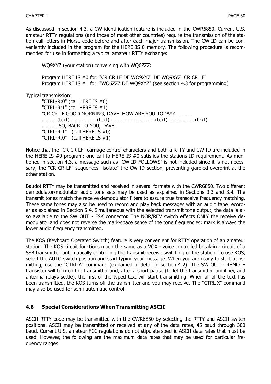As discussed in section 4.3, a CW identification feature is included in the CWR6850. Current U.S. amateur RTTY regulations (and those of most other countries) require the transmission of the station call letters in Morse code before and after each major transmission. The CW ID can be conveniently included in the program for the HERE IS 0 memory. The following procedure is recommended for use in formatting a typical amateur RTTY exchange:

WQ9XYZ (your station) conversing with WQ6ZZZ:

Program HERE IS #0 for: "CR CR LF DE WQ9XYZ DE WQ9XYZ CR CR LF" Program HERE IS #1 for: "WQ6ZZZ DE WQ9XYZ" (see section 4.3 for programming)

Typical transmission:

"CTRL-R:0" (call HERE IS #0) "CTRL-R:1" (call HERE IS #1) "CR CR LF GOOD MORNING, DAVE. HOW ARE YOU TODAY? .......... ...........(text) ..................(text) ...............................(text) ................(text) .......... SO, BACK TO YOU, DAVE. "CTRL-R:1" (call HERE IS #0) "CTRL-R:0" (call HERE IS #1)

Notice that the "CR CR LF" carriage control characters and both a RTTY and CW ID are included in the HERE IS #0 program; one call to HERE IS #0 satisfies the stations ID requirement. As mentioned in section 4.3, a message such as "CW ID FOLLOWS" is not included since it is not necessary; the "CR CR LF" sequences "isolate" the CW ID section, preventing garbled overprint at the other station.

Baudot RTTY may be transmitted and received in several formats with the CWR6850. Two different demodulator/modulator audio tone sets may be used as explained in Sections 3.3 and 3.4. The transmit tones match the receive demodulator filters to assure true transceive frequency matching. These same tones may also be used to record and play back messages with an audio tape recorder as explained in Section 5.4. Simultaneous with the selected transmit tone output, the data is also available to the SW OUT - FSK connector. The NOR/REV switch effects ONLY the receive demodulator and does not reverse the mark-space sense of the tone frequencies; mark is always the lower audio frequency transmitted.

The KOS (Keyboard Operated Switch) feature is very convenient for RTTY operation of an amateur station. The KOS circuit functions much the same as a VOX - voice controlled break-in - circuit of a SSB transmitter, automatically controlling the transmit-receive switching of the station. To use KOS, select the AUTO switch position and start typing your message. When you are ready to start transmitting, use the "CTRL-A" command (explained in detail in section 4.2). The SW OUT - REMOTE transistor will turn-on the transmitter and, after a short pause (to let the transmitter, amplifier, and antenna relays settle), the first of the typed text will start transmitting. When all of the text has been transmitted, the KOS turns off the transmitter and you may receive. The "CTRL-X" command may also be used for semi-automatic control.

#### **4.6 Special Considerations When Transmitting ASCII**

ASCII RTTY code may be transmitted with the CWR6850 by selecting the RTTY and ASCII switch positions. ASCII may be transmitted or received at any of the data rates, 45 baud through 300 baud. Current U.S. amateur FCC regulations do not stipulate specific ASCII data rates that must be used. However, the following are the maximum data rates that may be used for particular frequency ranges: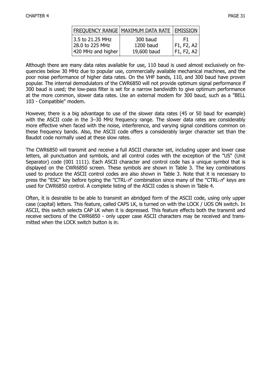|                    | <b>FREQUENCY RANGE   MAXIMUM DATA RATE   EMISSION</b> |            |
|--------------------|-------------------------------------------------------|------------|
| 3.5 to 21.25 MHz   | 300 baud                                              | F1.        |
| 28.0 to 225 MHz    | 1200 baud                                             | F1, F2, A2 |
| 420 MHz and higher | 19,600 baud                                           | F1, F2, A2 |

Although there are many data rates available for use, 110 baud is used almost exclusively on frequencies below 30 MHz due to popular use, commercially available mechanical machines, and the poor noise performance of higher data rates. On the VHF bands, 110, and 300 baud have proven popular. The internal demodulators of the CWR6850 will not provide optimum signal performance if 300 baud is used; the low-pass filter is set for a narrow bandwidth to give optimum performance at the more common, slower data rates. Use an external modem for 300 baud, such as a "BELL 103 - Compatible" modem.

However, there is a big advantage to use of the slower data rates (45 or 50 baud for example) with the ASCII code in the 3–30 MHz frequency range. The slower data rates are considerably more effective when faced with the noise, interference, and varying signal conditions common on these frequency bands. Also, the ASCII code offers a considerably larger character set than the Baudot code normally used at these slow rates.

The CWR6850 will transmit and receive a full ASCII character set, including upper and lower case letters, all punctuation and symbols, and all control codes with the exception of the "US" (Unit Separator) code (001 1111). Each ASCII character and control code has a unique symbol that is displayed on the CWR6850 screen. These symbols are shown in Table 3. The key combinations used to produce the ASCII control codes are also shown in Table 3. Note that it is necessary to press the "ESC" key before typing the "CTRL- $n$ " combination since many of the "CTRL- $n$ " keys are used for CWR6850 control. A complete listing of the ASCII codes is shown in Table 4.

Often, it is desirable to be able to transmit an abridged form of the ASCII code, using only upper case (capital) letters. This feature, called CAPS LK, is turned on with the LOCK / UOS ON switch. In ASCII, this switch selects CAP LK when it is depressed. This feature effects both the transmit and receive sections of the CWR6850 - only upper case ASCII characters may be received and transmitted when the LOCK switch button is in.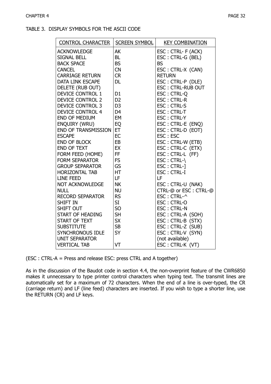#### TABLE 3. DISPLAY SYMBOLS FOR THE ASCII CODE

| <b>CONTROL CHARACTER</b>   | <b>SCREEN SYMBOL</b> | <b>KEY COMBINATION</b>   |
|----------------------------|----------------------|--------------------------|
| <b>ACKNOWLEDGE</b>         | AK                   | ESC: CTRL- F (ACK)       |
| SIGNAL BELL                | <b>BL</b>            | ESC: CTRL-G (BEL)        |
| <b>BACK SPACE</b>          | <b>BS</b>            | <b>BS</b>                |
| <b>CANCEL</b>              | <b>CN</b>            | ESC: CTRL-X (CAN)        |
| <b>CARRIAGE RETURN</b>     | <b>CR</b>            | <b>RETURN</b>            |
| <b>DATA LINK ESCAPE</b>    | <b>DL</b>            | ESC: CTRL-P (DLE)        |
| DELETE (RUB OUT)           |                      | <b>ESC: CTRL-RUB OUT</b> |
| <b>DEVICE CONTROL 1</b>    | D <sub>1</sub>       | ESC: CTRL-Q              |
| <b>DEVICE CONTROL 2</b>    | D <sub>2</sub>       | <b>ESC: CTRL-R</b>       |
| <b>DEVICE CONTROL 3</b>    | D <sub>3</sub>       | <b>ESC: CTRL-S</b>       |
| <b>DEVICE CONTROL 4</b>    | D <sub>4</sub>       | <b>ESC: CTRL-T</b>       |
| <b>END OF MEDIUM</b>       | EM                   | <b>ESC: CTRL-Y</b>       |
| ENQUIRY (WRU)              | EQ                   | ESC: CTRL-E (ENQ)        |
| <b>END OF TRANSMISSION</b> | ET                   | ESC: CTRL-D (EOT)        |
| <b>ESCAPE</b>              | <b>EC</b>            | ESC: ESC                 |
| <b>END OF BLOCK</b>        | EB                   | ESC: CTRL-W (ETB)        |
| END OF TEXT                | EX                   | ESC: CTRL-C (ETX)        |
| FORM FEED (HOME)           | FF                   | ESC: CTRL-L (FF)         |
| <b>FORM SEPARATOR</b>      | <b>FS</b>            | ESC: CTRL-\              |
| <b>GROUP SEPARATOR</b>     | GS                   | ESC: CTRL-]              |
| <b>HORIZONTAL TAB</b>      | HT                   | <b>ESC: CTRL-I</b>       |
| <b>LINE FEED</b>           | LF                   | LF                       |
| <b>NOT ACKNOWLEDGE</b>     | <b>NK</b>            | ESC: CTRL-U (NAK)        |
| <b>NULL</b>                | <b>NU</b>            | CTRL-@ or ESC: CTRL-@    |
| <b>RECORD SEPARATOR</b>    | <b>RS</b>            | ESC: CTRL-^              |
| <b>SHIFT IN</b>            | <b>SI</b>            | ESC: CTRL-O              |
| <b>SHIFT OUT</b>           | <b>SO</b>            | <b>ESC: CTRL-N</b>       |
| START OF HEADING           | <b>SH</b>            | ESC: CTRL-A (SOH)        |
| <b>START OF TEXT</b>       | <b>SX</b>            | ESC: CTRL-B (STX)        |
| <b>SUBSTITUTE</b>          | <b>SB</b>            | ESC: CTRL-Z (SUB)        |
| SYNCHRONOUS IDLE           | <b>SY</b>            | ESC: CTRL-V (SYN)        |
| <b>UNIT SEPARATOR</b>      |                      | (not available)          |
| <b>VERTICAL TAB</b>        | VT                   | ESC: CTRL-K (VT)         |

(ESC : CTRL-A = Press and release ESC: press CTRL and A together)

As in the discussion of the Baudot code in section 4.4, the non-overprint feature of the CWR6850 makes it unnecessary to type printer control characters when typing text. The transmit lines are automatically set for a maximum of 72 characters. When the end of a line is over-typed, the CR (carriage return) and LF (line feed) characters are inserted. If you wish to type a shorter line, use the RETURN (CR) and LF keys.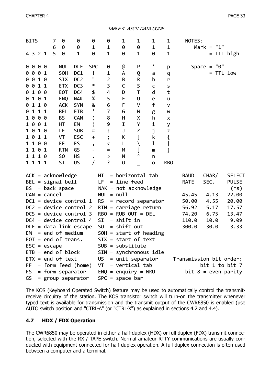TABLE 4 ASCII DATA CODE

|                | <b>BITS</b>  |           |                                  | 7      | 0                          | 0                        | 0                             | 0                        | 1                         | 1                 | 1            | 1                 | NOTES:      |                               |               |
|----------------|--------------|-----------|----------------------------------|--------|----------------------------|--------------------------|-------------------------------|--------------------------|---------------------------|-------------------|--------------|-------------------|-------------|-------------------------------|---------------|
|                |              | 4 3 2 1   |                                  | 6<br>5 | 0<br>0                     | 0<br>$\mathbf 1$         | 1<br>0                        | 1<br>$\mathbf 1$         | 0<br>0                    | 0<br>1            | 1<br>0       | 1<br>$\mathbf 1$  |             | "1"<br>$Mark =$<br>= TTL high |               |
| 00             |              | 00        |                                  |        | <b>NUL</b>                 | <b>DLE</b>               | <b>SPC</b>                    | 0                        | $^\text{\textregistered}$ | P                 | I,           | р                 |             | Space = $"0"$                 |               |
|                |              | 0001      |                                  |        | <b>SOH</b>                 | DC1                      | Ţ                             | $\mathbf 1$              | А                         | Q                 | a            | q                 |             | = TTL low                     |               |
| 0 0            |              | 10        |                                  |        | <b>SIX</b>                 | DC <sub>2</sub>          | п                             | $\overline{2}$           | B                         | $\sf R$           | b            | r                 |             |                               |               |
| 0              | 0            | 11        |                                  |        | <b>ETX</b>                 | DC <sub>3</sub>          | $\ast$                        | 3                        | C                         | S                 | C            | S                 |             |                               |               |
| 0              |              | 100       |                                  |        | <b>EOT</b>                 | DC4                      | \$                            | 4                        | D                         | $\mathsf T$       | d            | t                 |             |                               |               |
| 0              |              | 101       |                                  |        | <b>ENQ</b>                 | <b>NAK</b>               | $\%$                          | 5                        | $\mathsf E$               | U                 | e            | u                 |             |                               |               |
| 0 1            | $\mathbf{1}$ | 10        |                                  |        | <b>ACK</b>                 | <b>SYN</b>               | &<br>٠                        | 6                        | F                         | V                 | $\mathsf{f}$ | v                 |             |                               |               |
| 0<br>$1\theta$ |              | 11        |                                  |        | <b>BEL</b>                 | <b>ETB</b>               |                               | 7                        | G                         | W                 | g            | W                 |             |                               |               |
| 10             |              | 00<br>0 1 |                                  |        | <b>BS</b>                  | <b>CAN</b>               | (                             | 8<br>9                   | H<br>$\mathbf I$          | X                 | h<br>i       | X                 |             |                               |               |
| $1\theta$      |              | 1 0       |                                  |        | HT<br>LF                   | EM<br><b>SUB</b>         | ⟩<br>#                        |                          | J                         | Υ                 |              | у                 |             |                               |               |
| 10             |              | 11        |                                  |        | VT                         | <b>ESC</b>               |                               |                          | К                         | Z<br>$\mathbf{r}$ | j<br>k       | Z                 |             |                               |               |
|                |              | 1100      |                                  |        | FF                         | <b>FS</b>                | $\ddot{}$                     | $\mathbf{\dot{i}}$<br>く  | Г                         | ∖                 | ı            | {<br>$\mathbf{I}$ |             |                               |               |
| $1\quad1$      |              | 0 1       |                                  |        | <b>RTN</b>                 | GS                       | J<br>$\overline{\phantom{0}}$ | $=$                      | M                         | $\mathbf{l}$      | m            | }                 |             |                               |               |
|                |              | 1110      |                                  |        | S <sub>0</sub>             | <b>HS</b>                |                               | ≻                        | N                         | Λ                 | n            |                   |             |                               |               |
|                |              | 1 1 1 1   |                                  |        | SI                         | US                       | /                             | ŗ                        | 0                         |                   | $\mathsf{o}$ | <b>RBO</b>        |             |                               |               |
|                |              |           |                                  |        | $ACK = acknowledgmentedge$ |                          |                               | НT                       | $=$ horizontal tab        |                   |              |                   | <b>BAUD</b> | CHAR/                         | <b>SELECT</b> |
|                |              |           |                                  |        | $BEL = signal bell$        |                          |                               | LF                       | = line feed               |                   |              |                   | <b>RATE</b> | SEC.                          | <b>PULSE</b>  |
| <b>BS</b>      |              |           |                                  |        | = back space               |                          |                               | NAK = not acknowledge    |                           |                   |              |                   |             |                               | (ms)          |
|                |              |           | $CAN = cancel$                   |        |                            |                          |                               | $NUL = null$             |                           |                   |              |                   | 45.45       | 4.13                          | 22.00         |
|                |              |           |                                  |        |                            | $DC1 = device control 1$ |                               | <b>RS</b>                | = record separator        |                   |              |                   | 50.00       | 4.55                          | 20.00         |
|                |              |           |                                  |        |                            | $DC2 = device control 2$ |                               | $RTN = carriage return$  |                           |                   |              |                   | 56.92       | 5.17                          | 17.57         |
|                |              |           |                                  |        |                            | $DCS = device control 3$ |                               | $RBO = RUB OUT = DEL$    |                           |                   |              |                   | 74.20       | 6.75                          | 13.47         |
|                |              |           |                                  |        |                            | $DC4 = device control 4$ |                               | SI                       | $=$ shift in              |                   |              |                   | 110.0       | 10.0                          | 9.09          |
|                |              |           |                                  |        |                            | $DLE = data$ link escape |                               | S <sub>0</sub>           | $=$ shift out             |                   |              |                   | 300.0       | 30.0                          | 3.33          |
| EM             |              |           |                                  |        | $=$ end of medium          |                          |                               | $SOH = start of heading$ |                           |                   |              |                   |             |                               |               |
|                |              |           |                                  |        | $EOT = end of trans.$      |                          |                               | $SIX = start of text$    |                           |                   |              |                   |             |                               |               |
|                |              |           | $\textsf{ESC} = \textsf{escape}$ |        |                            |                          |                               | $SUB = substitute$       |                           |                   |              |                   |             |                               |               |
|                |              |           |                                  |        | $ETB = end of block$       |                          |                               | $SIN =$ synchronous idle |                           |                   |              |                   |             |                               |               |
|                |              |           |                                  |        | $ETX = end of text$        |                          |                               | US D                     | = unit separator          |                   |              |                   |             | Transmission bit order:       |               |
| FF.            |              |           |                                  |        |                            | = form feed (home)       |                               | $VT = vertical tab$      |                           |                   |              |                   |             | bit 1 to bit 7                |               |
| FS.            |              |           |                                  |        |                            | = form separator         |                               | $ENQ = enquiry = WRU$    |                           |                   |              |                   |             | $bit 8 = even parity$         |               |
| GS             |              |           |                                  |        |                            | = group separator        |                               | $SPC = space bar$        |                           |                   |              |                   |             |                               |               |

The KOS (Keyboard Operated Switch) feature may be used to automatically control the transmitreceive circuitry of the station. The KOS transistor switch will turn-on the transmitter whenever typed text is available for transmission and the transmit output of the CWR6850 is enabled (use AUTO switch position and "CTRL-A" (or "CTRL-X") as explained in sections 4.2 and 4.4).

#### **4.7 HDX / FDX Operation**

The CWR6850 may be operated in either a half-duplex (HDX) or full duplex (FDX) transmit connection, selected with the RX / TAPE switch. Normal amateur RTTY communications are usually conducted with equipment connected for half duplex operation. A full duplex connection is often used between a computer and a terminal.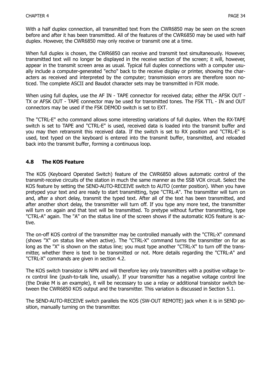With a half duplex connection, all transmitted text from the CWR6850 may be seen on the screen before and after it has been transmitted. All of the features of the CWR6850 may be used with half duplex. However, the CWR6850 may only receive or transmit one at a time.

When full duplex is chosen, the CWR6850 can receive and transmit text simultaneously. However, transmitted text will no longer be displayed in the receive section of the screen; it will, however, appear in the transmit screen area as usual. Typical full duplex connections with a computer usually include a computer-generated "echo" back to the receive display or printer, showing the characters as received and interpreted by the computer; transmission errors are therefore soon noticed. The complete ASCII and Baudot character sets may be transmitted in FDX mode.

When using full duplex, use the AF IN - TAPE connector for received data; either the AFSK OUT -TX or AFSK OUT - TAPE connector may be used for transmitted tones. The FSK TTL - IN and OUT connectors may be used if the FSK DEMOD switch is set to EXT.

The "CTRL-E" echo command allows some interesting variations of full duplex. When the RX-TAPE switch is set to TAPE and "CTRL-E" is used, received data is loaded into the transmit buffer and you may then retransmit this received data. If the switch is set to RX position and "CTRL-E" is used, text typed on the keyboard is entered into the transmit buffer, transmitted, and reloaded back into the transmit buffer, forming a continuous loop.

#### **4.8 The KOS Feature**

The KOS (Keyboard Operated Switch) feature of the CWR6850 allows automatic control of the transmit-receive circuits of the station in much the same manner as the SSB VOX circuit. Select the KOS feature by setting the SEND-AUTO-RECEIVE switch to AUTO (center position). When you have pretyped your text and are ready to start transmitting, type "CTRL-A". The transmitter will turn on and, after a short delay, transmit the typed text. After all of the text has been transmitted, and after another short delay, the transmitter will turn off. If you type any more text, the transmitter will turn on again and that text will be transmitted. To pretype without further transmitting, type "CTRL-A" again. The "A" on the status line of the screen shows if the automatic KOS feature is active.

The on-off KOS control of the transmitter may be controlled manually with the "CTRL-X" command (shows "X" on status line when active). The "CTRL-X" command turns the transmitter on for as long as the "X" is shown on the status line; you must type another "CTRL-X" to turn off the transmitter, whether there is text to be transmitted or not. More details regarding the "CTRL-A" and "CTRL-X" commands are given in section 4.2.

The KOS switch transistor is NPN and will therefore key only transmitters with a positive voltage txrx control line (push-to-talk line, usually). If your transmitter has a negative voltage control line (the Drake M is an example), it will be necessary to use a relay or additional transistor switch between the CWR6850 KOS output and the transmitter. This variation is discussed in Section 5.1.

The SEND-AUTO-RECEIVE switch parallels the KOS (SW-OUT REMOTE) jack when it is in SEND position, manually turning on the transmitter.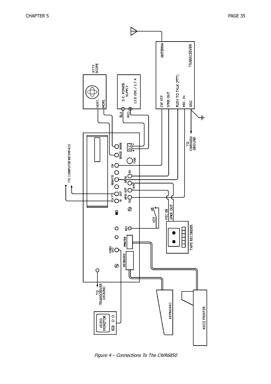

Figure 4 – Connections To The CWR6850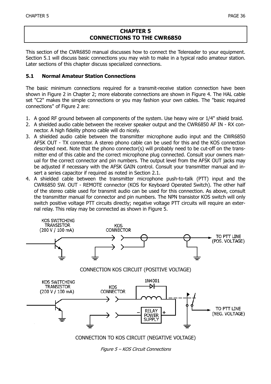#### **CHAPTER 5 CONNECTIONS TO THE CWR6850**

This section of the CWR6850 manual discusses how to connect the Telereader to your equipment. Section 5.1 will discuss basic connections you may wish to make in a typical radio amateur station. Later sections of this chapter discuss specialized connections.

#### **5.1 Normal Amateur Station Connections**

The basic minimum connections required for a transmit-receive station connection have been shown in Figure 2 in Chapter 2; more elaborate connections are shown in Figure 4. The HAL cable set "C2" makes the simple connections or you may fashion your own cables. The "basic required connections" of Figure 2 are:

- 1. A good RF ground between all components of the system. Use heavy wire or 1/4" shield braid.
- 2. A shielded audio cable between the receiver speaker output and the CWR6850 AF IN RX connector. A high fidelity phono cable will do nicely.
- 3. A shielded audio cable between the transmitter microphone audio input and the CWR6850 AFSK OUT - TX connector. A stereo phono cable can be used for this and the KOS connection described next. Note that the phono connector(s) will probably need to be cut-off on the transmitter end of this cable and the correct microphone plug connected. Consult your owners manual for the correct connector and pin numbers. The output level from the AFSK OUT jacks may be adjusted if necessary with the AFSK GAIN control. Consult your transmitter manual and insert a series capacitor if required as noted in Section 2.1.
- 4. A shielded cable between the transmitter microphone push-to-talk (PTT) input and the CWR6850 SW. OUT - REMOTE connector (KOS for Keyboard Operated Switch). The other half of the stereo cable used for transmit audio can be used for this connection. As above, consult the transmitter manual for connector and pin numbers. The NPN transistor KOS switch will only switch positive voltage PTT circuits directly; negative voltage PTT circuits will require an external relay. This relay may be connected as shown in Figure 5.



Figure 5 – KOS Circuit Connections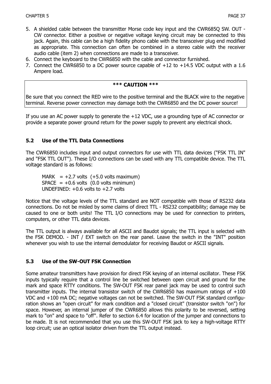- 5. A shielded cable between the transmitter Morse code key input and the CWR685Q SW. OUT CW connector. Either a positive or negative voltage keying circuit may be connected to this jack. Again, this cable can be a high fidelity phono cable with the transceiver plug end modified as appropriate. This connection can often be combined in a stereo cable with the receiver audio cable (item 2) when connections are made to a transceiver.
- 6. Connect the keyboard to the CWR6850 with the cable and connector furnished.
- 7. Connect the CWR6850 to a DC power source capable of +12 to +14.5 VDC output with a 1.6 Ampere load.

#### **\*\*\* CAUTION \*\*\***

Be sure that you connect the RED wire to the positive terminal and the BLACK wire to the negative terminal. Reverse power connection may damage both the CWR6850 and the DC power source!

If you use an AC power supply to generate the +12 VDC, use a grounding type of AC connector or provide a separate power ground return for the power supply to prevent any electrical shock.

#### **5.2 Use of the TTL Data Connections**

The CWR6850 includes input and output connectors for use with TTL data devices ("FSK TTL IN" and "FSK TTL OUT"). These I/O connections can be used with any TTL compatible device. The TTL voltage standard is as follows:

MARK  $= +2.7$  volts  $(+5.0$  volts maximum)  $SPACE = +0.6$  volts  $(0.0$  volts minimum) UNDEFINED:  $+0.6$  volts to  $+2.7$  volts

Notice that the voltage levels of the TTL standard are NOT compatible with those of RS232 data connections. Do not be misled by some claims of direct TTL - RS232 compatibility; damage may be caused to one or both units! The TTL I/O connections may be used for connection to printers, computers, or other TTL data devices.

The TTL output is always available for all ASCII and Baudot signals; the TTL input is selected with the FSK DEMOD. - INT / EXT switch on the rear panel. Leave the switch in the "INT" position whenever you wish to use the internal demodulator for receiving Baudot or ASCII signals.

#### **5.3 Use of the SW-OUT FSK Connection**

Some amateur transmitters have provision for direct FSK keying of an internal oscillator. These FSK inputs typically require that a control line be switched between open circuit and ground for the mark and space RTTY conditions. The SW-OUT FSK rear panel jack may be used to control such transmitter inputs. The internal transistor switch of the CWR6850 has maximum ratings of +100 VDC and +100 mA DC; negative voltages can not be switched. The SW-OUT FSK standard configuration shows an "open circuit" for mark condition and a "closed circuit" (transistor switch "on") for space. However, an internal jumper of the CWR6850 allows this polarity to be reversed, setting mark to "on" and space to "off". Refer to section 6.4 for location of the jumper and connections to be made. It is not recommended that you use this SW-OUT FSK jack to key a high-voltage RTTY loop circuit; use an optical isolator driven from the TTL output instead.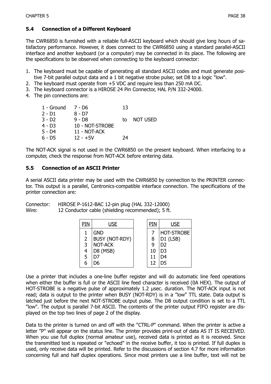#### **5.4 Connection of a Different Keyboard**

The CWR6850 is furnished with a reliable full-ASCII keyboard which should give long hours of satisfactory performance. However, it does connect to the CWR6850 using a standard parallel-ASCII interface and another keyboard (or a computer) may be connected in its place. The following are the specifications to be observed when connecting to the keyboard connector:

- 1. The keyboard must be capable of generating all standard ASCII codes and must generate positive 7-bit parallel output data and a 1 bit negative strobe pulse; set D8 to a logic "low".
- 2. The keyboard must operate from +5 VDC and require less than 250 mA DC.
- 3. The keyboard connector is a HIROSE 24 Pin Connector, HAL P/N 332-24000.
- 4. The pin connections are:

| 1 - Ground | 7 - D6          | 13 |                 |
|------------|-----------------|----|-----------------|
| $2 - D1$   | 8 - D7          |    |                 |
| $3 - D2$   | 9 - D8          | t٥ | <b>NOT USED</b> |
| 4 - D3     | 10 - NOT-STROBE |    |                 |
| $5 - D4$   | 11 - NOT-ACK    |    |                 |
| $6 - D5$   | $12 - +5V$      | 74 |                 |

The NOT-ACK signal is not used in the CWR6850 on the present keyboard. When interfacing to a computer, check the response from NOT-ACK before entering data.

#### **5.5 Connection of an ASCII Printer**

A serial ASCII data printer may be used with the CWR6850 by connection to the PRINTER connector. This output is a parallel, Centronics-compatible interface connection. The specifications of the printer connection are:

Connector: HIROSE P-1612-BAC 12-pin plug (HAL 332-12000) Wire: 12 Conductor cable (shielding recommended); 5 ft.

| PIN | <b>USE</b>            | PIN | <b>USE</b>        |
|-----|-----------------------|-----|-------------------|
|     | <b>GND</b>            |     | <b>HOT-STROBE</b> |
| 2   | <b>BUSY (NOT-RDY)</b> | 8   | D1 (LSB)          |
| 3   | NOT-ACK               | 9   | D <sub>2</sub>    |
|     | D8 (MSB)              | 10  | D <sub>3</sub>    |
| 5   |                       | 11  | D4                |
|     | 76                    | 12  | D5                |

Use a printer that includes a one-line buffer register and will do automatic line feed operations when either the buffer is full or the ASCII line feed character is received (0A HEX). The output of HOT-STROBE is a negative pulse of approximately 1.2 µsec. duration. The NOT-ACK input is not read; data is output to the printer when BUSY (NOT-RDY) is in a "low" TTL state. Data output is latched just before the next NOT-STROBE output pulse. The D8 output condition is set to a TTL "low". The output is parallel 7-bit ASCII. The contents of the printer output FIFO register are displayed on the top two lines of page 2 of the display.

Data to the printer is turned on and off with the "CTRL-P" command. When the printer is active a letter "P" will appear on the status line. The printer provides print-out of data AS IT IS RECEIVED. When you use full duplex (normal amateur use), received data is printed as it is received. Since the transmitted text is repeated or "echoed" in the receive buffer, it too is printed. If full duplex is used, only receive data will be printed. Refer to the discussions of section 4.7 for more information concerning full and half duplex operations. Since most printers use a line buffer, text will not be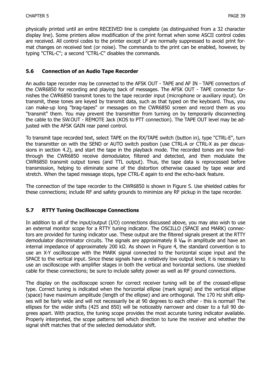physically printed until an entire RECEIVED line is complete (as distinguished from a 32 character display line). Some printers allow modification of the print format when some ASCII control codes are received. All control codes to the printer except LF are normally suppressed to avoid print format changes on received text (or noise). The commands to the print can be enabled, however, by typing "CTRL-C"; a second "CTRL-C" disables the commands.

#### **5.6 Connection of an Audio Tape Recorder**

An audio tape recorder may be connected to the AFSK OUT - TAPE and AF IN - TAPE connectors of the CWR6850 for recording and playing back of messages. The AFSK OUT - TAPE connector furnishes the CWR6850 transmit tones to the tape recorder input (microphone or auxiliary input). On transmit, these tones are keyed by transmit data, such as that typed on the keyboard. Thus, you can make-up long "brag-tapes" or messages on the CWR6850 screen and record them as you "transmit" them. You may prevent the transmitter from turning on by temporarily disconnecting the cable to the SW.OUT - REMOTE Jack (KOS to PTT connection). The TAPE OUT level may be adjusted with the AFSK GAIN rear panel control.

To transmit tape recorded text, select TAPE on the RX/TAPE switch (button in), type "CTRL-E", turn the transmitter on with the SEND or AUTO switch position (use CTRL-A or CTRL-X as per discussions in section 4.2), and start the tape in the playback mode. The recorded tones are now fedthrough the CWR6850 receive demodulator, filtered and detected, and then modulate the CWR6850 transmit output tones (and TTL output). Thus, the tape data is reprocessed before transmission, helping to eliminate some of the distortion otherwise caused by tape wear and stretch. When the taped message stops, type CTRL-E again to end the echo-back feature.

The connection of the tape recorder to the CWR6850 is shown in Figure 5. Use shielded cables for these connections; include RF and safety grounds to minimize any RF pickup in the tape recorder.

#### **5.7 RTTY Tuning Oscilloscope Connections**

In addition to all of the input/output (I/O) connections discussed above, you may also wish to use an external monitor scope for a RTTY tuning indicator. The OSCILLO (SPACE and MARK) connectors are provided for tuning indicator use. These output are the filtered signals present at the RTTY demodulator discriminator circuits. The signals are approximately 8 V<sub>PP</sub> in amplitude and have an internal impedance of approximately 200 kΩ. As shown in Figure 4, the standard convention is to use an X-Y oscilloscope with the MARK signal connected to the horizontal scope input and the SPACE to the vertical input. Since these signals have a relatively low output level, it is necessary to use an oscilloscope with amplifier stages in both the vertical and horizontal sections. Use shielded cable for these connections; be sure to include safety power as well as RF ground connections.

The display on the oscilloscope screen for correct receiver tuning will be of the crossed-ellipse type. Correct tuning is indicated when the horizontal ellipse (mark signal) and the vertical ellipse (space) have maximum amplitude (length of the ellipse) and are orthogonal. The 170 Hz shift ellipses will be fairly wide and will not necessarily be at 90 degrees to each other - this is normal! The ellipses for the wider shifts (425 and 850) will be noticeably narrower and closer to a full 90 degrees apart. With practice, the tuning scope provides the most accurate tuning indicator available. Properly interpreted, the scope patterns tell which direction to tune the receiver and whether the signal shift matches that of the selected demodulator shift.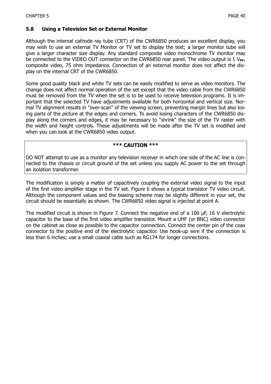#### **5.8 Using a Television Set or External Monitor**

Although the internal cathode ray tube (CRT) of the CWR6850 produces an excellent display, you may wish to use an external TV Monitor or TV set to display the text; a larger monitor tube will give a larger character size display. Any standard composite video monochrome TV monitor may be connected to the VIDEO OUT connector on the CWR6850 rear panel. The video output is 1 V<sub>PP</sub>, composite video, 75 ohm impedance. Connection of an external monitor does not affect the display on the internal CRT of the CWR6850.

Some good quality black and white TV sets can be easily modified to serve as video monitors. The change does not affect normal operation of the set except that the video cable from the CWR6850 must be removed from the TV when the set is to be used to receive television programs. It is important that the selected TV have adjustments available for both horizontal and vertical size. Normal TV alignment results in "over-scan" of the viewing screen, preventing margin lines but also losing parts of the picture at the edges and corners. To avoid losing characters of the CWR6850 display along the corners and edges, it may be necessary to "shrink" the size of the TV raster with the width and height controls. These adjustments will be made after the TV set is modified and when you can look at the CWR6850 video output.

#### **\*\*\* CAUTION \*\*\***

DO NOT attempt to use as a monitor any television receiver in which one side of the AC line is connected to the chassis or circuit ground of the set unless you supply AC power to the set through an isolation transformer.

The modification is simply a matter of capacitively coupling the external video signal to the input of the first video amplifier stage in the TV set. Figure 6 shows a typical transistor TV video circuit. Although the component values and the biasing scheme may be slightly different in your set, the circuit should be essentially as shown. The CWR6850 video signal is injected at point A.

The modified circuit is shown in Figure 7. Connect the negative end of a 100 µF, 16 V electrolytic capacitor to the base of the first video amplifier transistor. Mount a UHF (or BNC) video connector on the cabinet as close as possible to the capacitor connection. Connect the center pin of the coax connector to the positive end of the electrolytic capacitor. Use hook-up wire if the connection is less than 6 inches; use a small coaxial cable such as RG174 for longer connections.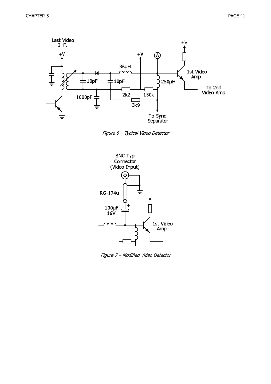

Figure 6 – Typical Video Detector



Figure 7 – Modified Video Detector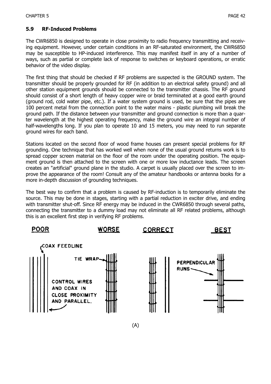#### **5.9 RF-Induced Problems**

The CWR6850 is designed to operate in close proximity to radio frequency transmitting and receiving equipment. However, under certain conditions in an RF-saturated environment, the CWR6850 may be susceptible to HP-induced interference. This may manifest itself in any of a number of ways, such as partial or complete lack of response to switches or keyboard operations, or erratic behavior of the video display.

The first thing that should be checked if RF problems are suspected is the GROUND system. The transmitter should be properly grounded for RF (in addition to an electrical safety ground) and all other station equipment grounds should be connected to the transmitter chassis. The RF ground should consist of a short length of heavy copper wire or braid terminated at a good earth ground (ground rod, cold water pipe, etc.). If a water system ground is used, be sure that the pipes are 100 percent metal from the connection point to the water mains - plastic plumbing will break the ground path. If the distance between your transmitter and ground connection is more than a quarter wavelength at the highest operating frequency, make the ground wire an integral number of half-wavelengths long. If you plan to operate 10 and 15 meters, you may need to run separate ground wires for each band.

Stations located on the second floor of wood frame houses can present special problems for RF grounding. One technique that has worked well when none of the usual ground returns work is to spread copper screen material on the floor of the room under the operating position. The equipment ground is then attached to the screen with one or more low inductance leads. The screen creates an "artificial" ground plane in the studio. A carpet is usually placed over the screen to improve the appearance of the room! Consult any of the amateur handbooks or antenna books for a more in-depth discussion of grounding techniques.

The best way to confirm that a problem is caused by RF-induction is to temporarily eliminate the source. This may be done in stages, starting with a partial reduction in exciter drive, and ending with transmitter shut-off. Since RF energy may be induced in the CWR6850 through several paths, connecting the transmitter to a dummy load may not eliminate all RF related problems, although this is an excellent first step in verifying RF problems.

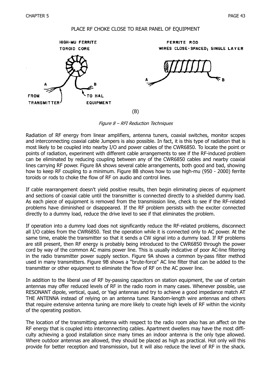#### PLACE RF CHOKE CLOSE TO REAR PANEL OF EOUIPMENT



Figure 8 – RFI Reduction Techniques

Radiation of RF energy from linear amplifiers, antenna tuners, coaxial switches, monitor scopes and interconnecting coaxial cable Jumpers is also possible. In fact, it is this type of radiation that is most likely to be coupled into nearby I/O and power cables of the CWR6850. To locate the point or points of radiation, experiment with different cable arrangements to see if the RF-induced problem can be eliminated by reducing coupling between any of the CWR6850 cables and nearby coaxial lines carrying RF power. Figure 8A shows several cable arrangements, both good and bad, showing how to keep RF coupling to a minimum. Figure 8B shows how to use high-mu (950 - 2000) ferrite toroids or rods to choke the flow of RF on audio and control lines.

If cable rearrangement doesn't yield positive results, then begin eliminating pieces of equipment and sections of coaxial cable until the transmitter is connected directly to a shielded dummy load. As each piece of equipment is removed from the transmission line, check to see if the RF-related problems have diminished or disappeared. If the RF problem persists with the exciter connected directly to a dummy load, reduce the drive level to see if that eliminates the problem.

If operation into a dummy load does not significantly reduce the RF-related problems, disconnect all I/O cables from the CWR6850. Test the operation while it is connected only to AC power. At the same time, enable the transmitter so that it sends a CW signal into a dummy load. If RF problems are still present, then RF energy is probably being introduced to the CWR6850 through the power cord by way of the common AC mains power line. This is usually indicative of poor AC-line filtering in the radio transmitter power supply section. Figure 9A shows a common by-pass filter method used in many transmitters. Figure 9B shows a "brute-force" AC line filter that can be added to the transmitter or other equipment to eliminate the flow of RF on the AC power line.

In addition to the liberal use of RF by-passing capacitors on station equipment, the use of certain antennas may offer reduced levels of RF in the radio room in many cases. Whenever possible, use RESONANT dipole, vertical, quad, or Yagi antennas and try to achieve a good impedance match AT THE ANTENNA instead of relying on an antenna tuner. Random-length wire antennas and others that require extensive antenna tuning are more likely to create high levels of RF within the vicinity of the operating position.

The location of the transmitting antenna with respect to the radio room also has an affect on the RF energy that is coupled into interconnecting cables. Apartment dwellers may have the most difficulty achieving a good installation since many times an indoor antenna is the only type allowed. Where outdoor antennas are allowed, they should be placed as high as practical. Hot only will this provide for better reception and transmission, but it will also reduce the level of RF in the shack.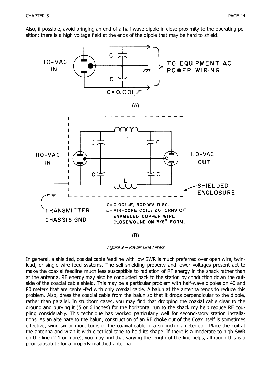Also, if possible, avoid bringing an end of a half-wave dipole in close proximity to the operating position; there is a high voltage field at the ends of the dipole that may be hard to shield.



(B)

Figure 9 – Power Line Filters

In general, a shielded, coaxial cable feedline with low SWR is much preferred over open wire, twinlead, or single wire feed systems. The self-shielding property and lower voltages present act to make the coaxial feedline much less susceptible to radiation of RF energy in the shack rather than at the antenna. RF energy may also be conducted back to the station by conduction down the outside of the coaxial cable shield. This may be a particular problem with half-wave dipoles on 40 and 80 meters that are center-fed with only coaxial cable. A balun at the antenna tends to reduce this problem. Also, dress the coaxial cable from the balun so that it drops perpendicular to the dipole, rather than parallel. In stubborn cases, you may find that dropping the coaxial cable clear to the ground and burying it (5 or 6 inches) for the horizontal run to the shack my help reduce RF coupling considerably. This technique has worked particularly well for second-story station installations. As an alternate to the balun, construction of an RF choke out of the Coax itself is sometimes effective; wind six or more turns of the coaxial cable in a six inch diameter coil. Place the coil at the antenna and wrap it with electrical tape to hold its shape. If there is a moderate to high SWR on the line (2:1 or more), you may find that varying the length of the line helps, although this is a poor substitute for a properly matched antenna.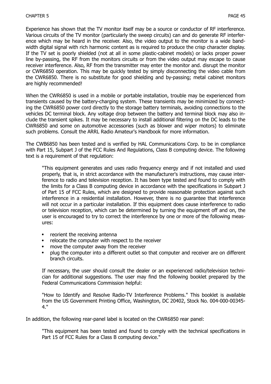Experience has shown that the TV monitor itself may be a source or conductor of RF interference. Various circuits of the TV monitor (particularly the sweep circuits) can and do generate RF interference which may be heard in the receiver. Also, the video output to the monitor is a wide bandwidth digital signal with rich harmonic content as is required to produce the crisp character display. If the TV set is poorly shielded (not at all in some plastic-cabinet models) or lacks proper power line by-passing, the RF from the monitors circuits or from the video output may escape to cause receiver interference. Also, RF from the transmitter may enter the monitor and. disrupt the monitor or CWR6850 operation. This may be quickly tested by simply disconnecting the video cable from the CWR6850. There is no substitute for good shielding and by-passing; metal cabinet monitors are highly recommended!

When the CWR6850 is used in a mobile or portable installation, trouble may be experienced from transients caused by the battery-charging system. These transients may be minimized by connecting the CWR6850 power cord directly to the storage battery terminals, avoiding connections to the vehicles DC terminal block. Any voltage drop between the battery and terminal block may also include the transient spikes. It may be necessary to install additional filtering on the DC leads to the CWR6850 and some on automotive accessories (such as blower and wiper motors) to eliminate such problems. Consult the ARRL Radio Amateur's Handbook for more information.

The CWB6850 has been tested and is verified by HAL Communications Corp. to be in compliance with Part 15, Subpart J of the FCC Rules And Regulations, Class B computing device. The following text is a requirement of that regulation:

"This equipment generates and uses radio frequency energy and if not installed and used properly, that is, in strict accordance with the manufacturer's instructions, may cause interference to radio and television reception. It has been type tested and found to comply with the limits for a Class B computing device in accordance with the specifications in Subpart J of Part 15 of FCC Rules, which are designed to provide reasonable protection against such interference in a residential installation. However, there is no guarantee that interference will not occur in a particular installation. If this equipment does cause interference to radio or television reception, which can be determined by turning the equipment off and on, the user is encouraged to try to correct the interference by one or more of the following measures:

- $\bullet$ reorient the receiving antenna
- relocate the computer with respect to the receiver
- move the computer away from the receiver
- $\bullet$ plug the computer into a different outlet so that computer and receiver are on different branch circuits.

If necessary, the user should consult the dealer or an experienced radio/television technician for additional suggestions. The user may find the following booklet prepared by the Federal Communications Commission helpful:

"How to Identify and Resolve Radio-TV Interference Problems." This booklet is available from the US Government Printing Office, Washington, DC 20402, Stock No. 004-000-00345- 4."

In addition, the following rear-panel label is located on the CWR6850 rear panel:

"This equipment has been tested and found to comply with the technical specifications in Part 15 of FCC Rules for a Class B computing device."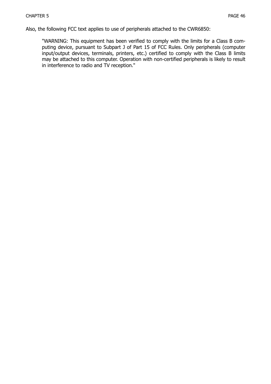Also, the following FCC text applies to use of peripherals attached to the CWR6850:

"WARNING: This equipment has been verified to comply with the limits for a Class B computing device, pursuant to Subpart J of Part 15 of FCC Rules. Only peripherals (computer input/output devices, terminals, printers, etc.) certified to comply with the Class B limits may be attached to this computer. Operation with non-certified peripherals is likely to result in interference to radio and TV reception."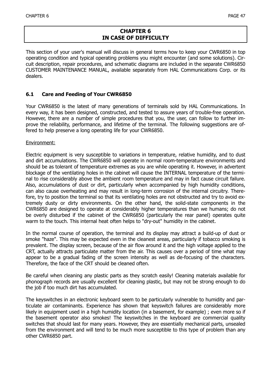#### **CHAPTER 6 IN CASE OF DIFFICULTY**

This section of your user's manual will discuss in general terms how to keep your CWR6850 in top operating condition and typical operating problems you might encounter (and some solutions). Circuit description, repair procedures, and schematic diagrams are included in the separate CWR6850 CUSTOMER MAINTENANCE MANUAL, available separately from HAL Communications Corp. or its dealers.

#### **6.1 Care and Feeding of Your CWR6850**

Your CWR6850 is the latest of many generations of terminals sold by HAL Communications. In every way, it has been designed, constructed, and tested to assure years of trouble-free operation. However, there are a number of simple procedures that you, the user, can follow to further improve the reliability, performance, and lifetime of the terminal. The following suggestions are offered to help preserve a long operating life for your CWR6850.

#### Environment:

Electric equipment is very susceptible to variations in temperature, relative humidity, and to dust and dirt accumulations. The CWR6850 will operate in normal room-temperature environments and should be as tolerant of temperature extremes as you are while operating it. However, in advertent blockage of the ventilating holes in the cabinet will cause the INTERNAL temperature of the terminal to rise considerably above the ambient room temperature and may in fact cause circuit failure. Also, accumulations of dust or dirt, particularly when accompanied by high humidity conditions, can also cause overheating and may result in long-term corrosion of the internal circuitry. Therefore, try to position the terminal so that its ventilating holes are not obstructed and try to avoid extremely dusty or dirty environments. On the other hand, the solid-state components in the CWR6850 are designed to operate at considerably higher temperatures than we humans; do not be overly disturbed if the cabinet of the CWR6850 (particularly the rear panel) operates quite warm to the touch. This internal heat often helps to "dry-out" humidity in the cabinet.

In the normal course of operation, the terminal and its display may attract a build-up of dust or smoke "haze". This may be expected even in the cleanest areas, particularly if tobacco smoking is prevalent. The display screen, because of the air flow around it and the high voltage applied to the CRT, actually attracts particulate matter from the air. This causes over a period of time what may appear to be a gradual fading of the screen intensity as well as de-focusing of the characters. Therefore, the face of the CRT should be cleaned often.

Be careful when cleaning any plastic parts as they scratch easily! Cleaning materials available for phonograph records are usually excellent for cleaning plastic, but may not be strong enough to do the job if too much dirt has accumulated.

The keyswitches in an electronic keyboard seem to be particularly vulnerable to humidity and particulate air contaminants. Experience has shown that keyswitch failures are considerably more likely in equipment used in a high humidity location (in a basement, for example) ; even more so if the basement operator also smokes! The keyswitches in the keyboard are commercial quality switches that should last for many years. However, they are essentially mechanical parts, unsealed from the environment and will tend to be much more susceptible to this type of problem than any other CWR6850 part.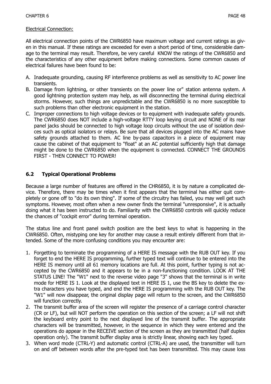All electrical connection points of the CWR6850 have maximum voltage and current ratings as given in this manual. If these ratings are exceeded for even a short period of time, considerable damage to the terminal may result. Therefore, be very careful KNOW the ratings of the CWR6850 and the characteristics of any other equipment before making connections. Some common causes of electrical failures have been found to be:

- A. Inadequate grounding, causing RF interference problems as well as sensitivity to AC power line transients.
- B. Damage from lightning, or other transients on the power line or" station antenna system. A good lightning protection system may help, as will disconnecting the terminal during electrical storms. However, such things are unpredictable and the CWR6850 is no more susceptible to such problems than other electronic equipment in the station.
- C. Improper connections to high voltage devices or to equipment with inadequate safety grounds. The CWR6850 does NOT include a high-voltage RTTY loop keying circuit and NONE of its rear panel jacks should be connected to high voltage loop circuits without the use of isolation devices such as optical isolators or relays. Be sure that all devices plugged into the AC mains have safety grounds attached to them. AC line by-pass capacitors in a piece of equipment may cause the cabinet of that equipment to "float" at an AC potential sufficiently high that damage might be done to the CWR6850 when the equipment is connected. CONNECT THE GROUNDS FIRST - THEN CONNECT TO POWER!

### **6.2 Typical Operational Problems**

Because a large number of features are offered in the CHR6850, it is by nature a complicated device. Therefore, there may be times when it first appears that the terminal has either quit completely or gone off to "do its own thing". If some of the circuitry has failed, you may well get such symptoms. However, most often when a new owner finds the terminal "unresponsive", it is actually doing what it has been instructed to do. Familiarity with the CWR6850 controls will quickly reduce the chances of "cockpit error" during terminal operation.

The status line and front panel switch position are the best keys to what is happening in the CWR6850. Often, mistyping one key for another may cause a result entirely different from that intended. Some of the more confusing conditions you may encounter are:

- 1. Forgetting to terminate the programming of a HERE IS message with the RUB OUT key. If you forget to end the HERE IS programming, further typed text will continue to be entered into the HERE IS memory until all 61 memory locations are full. At this point, further typing is not accepted by the CWR6850 and it appears to be in a non-functioning condition. LOOK AT THE STATUS LINE! The "W1" next to the reverse video page "3" shows that the terminal is in write mode for HERE IS 1. Look at the displayed text in HERE IS 1, use the BS key to delete the extra characters you have typed, and end the HERE IS programming with the RUB OUT key. The "W1" will now disappear, the original display page will return to the screen, and the CWR6850 will function correctly.
- 2. The transmit buffer area of the screen will register the presence of a carriage control character (CR or LF), but will NOT perform the operation on this section of the screen; a LF will not shift the keyboard entry point to the next displayed line of the transmit buffer. The appropriate characters will be transmitted, however, in the sequence in which they were entered and the operations do appear in the RECEIVE section of the screen as they are transmitted (half duplex operation only). The transmit buffer display area is strictly linear, showing each key typed.
- 3. When word mode (CTRL-Y) and automatic control (CTRL-A) are used, the transmitter will turn on and off between words after the pre-typed text has been transmitted. This may cause loss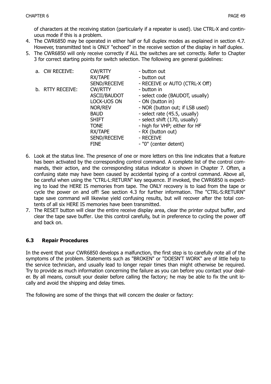of characters at the receiving station (particularly if a repeater is used). Use CTRL-X and continuous mode if this is a problem.

- 4. The CWR6850 may be operated in either half or full duplex modes as explained in section 4.7. However, transmitted text is ONLY "echoed" in the receive section of the display in half duplex.
- 5. The CWR6850 will only receive correctly if ALL the switches are set correctly. Refer to Chapter 3 for correct starting points for switch selection. The following are general guidelines:

|  | a. CW RECEIVE:   | <b>CW/RTTY</b> | - button out                    |
|--|------------------|----------------|---------------------------------|
|  |                  | RX/TAPE        | - button out                    |
|  |                  | SEND/RECEIVE   | - RECEIVE or AUTO (CTRL-X Off)  |
|  | b. RTTY RECEIVE: | <b>CW/RTTY</b> | - button in                     |
|  |                  | ASCII/BAUDOT   | - select code (BAUDOT, usually) |
|  |                  | LOCK-UOS ON    | - ON (button in)                |
|  |                  | NOR/REV        | - NOR (button out; if LSB used) |
|  |                  | <b>BAUD</b>    | - select rate (45.5, usually)   |
|  |                  | <b>SHIFT</b>   | - select shift (170, usually)   |
|  |                  | <b>TONE</b>    | - high for VHP; either for HF   |
|  |                  | RX/TAPE        | - RX (button out)               |
|  |                  | SEND/RECEIVE   | - RECEIVE                       |
|  |                  | <b>FINE</b>    | - "0" (center detent)           |

- 6. Look at the status line. The presence of one or more letters on this line indicates that a feature has been activated by the corresponding control command. A complete list of the control commands, their action, and the corresponding status indicator is shown in Chapter 7. Often, a confusing state may have been caused by accidental typing of a control command. Above all, be careful when using the "CTRL-L:RETURN" key sequence. If invoked, the CWR6850 is expecting to load the HERE IS memories from tape. The ONLY recovery is to load from the tape or cycle the power on and off! See section 4.3 for further information. The "CTRL-S:RETURN" tape save command will likewise yield confusing results, but will recover after the total contents of all six HERE IS memories have been transmitted.
- 7. The RESET button will clear the entire receive display area, clear the printer output buffer, and clear the tape save buffer. Use this control carefully, but in preference to cycling the power off and back on.

#### **6.3 Repair Procedures**

In the event that your CWR6850 develops a malfunction, the first step is to carefully note all of the symptoms of the problem. Statements such as "BROKEN" or "DOESN'T WORK" are of little help to the service technician, and usually lead to longer repair times than might otherwise be required. Try to provide as much information concerning the failure as you can before you contact your dealer. By all means, consult your dealer before calling the factory; he may be able to fix the unit locally and avoid the shipping and delay times.

The following are some of the things that will concern the dealer or factory: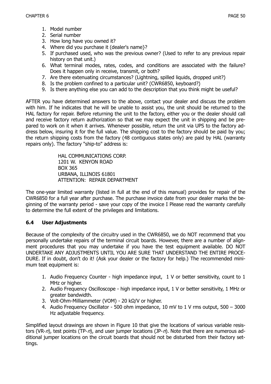- 1. Model number
- 2. Serial number
- 3. How long have you owned it?
- 4. Where did you purchase it (dealer's name}?
- 5. If purchased used, who was the previous owner? (Used to refer to any previous repair history on that unit.)
- 6. What terminal modes, rates, codes, and conditions are associated with the failure? Does it happen only in receive, transmit, or both?
- 7. Are there extenuating circumstances? (Lightning, spilled liquids, dropped unit?)
- 8. Is the problem confined to a particular unit? (CWR6850, keyboard?)
- 9. Is there anything else you can add to the description that you think might be useful?

AFTER you have determined answers to the above, contact your dealer and discuss the problem with him. If he indicates that he will be unable to assist you, the unit should be returned to the HAL factory for repair. Before returning the unit to the factory, either you or the dealer should call and receive factory return authorization so that we may expect the unit in shipping and be prepared to work on it when it arrives. Whenever possible, return the unit via UPS to the factory address below, insuring it for the full value. The shipping cost to the factory should be paid by you; the return shipping costs from the factory (48 contiguous states only) are paid by HAL (warranty repairs only). The factory "ship-to" address is:

> HAL COMMUNICATIONS CORP. 1201 W. KENYON ROAD BOX 365 URBANA, ILLINOIS 61801 ATTENTION: REPAIR DEPARTMENT

The one-year limited warranty (listed in full at the end of this manual) provides for repair of the CWR6850 for a full year after purchase. The purchase invoice date from your dealer marks the beginning of the warranty period - save your copy of the invoice I Please read the warranty carefully to determine the full extent of the privileges and limitations.

#### **6.4 User Adjustments**

Because of the complexity of the circuitry used in the CWR6850, we do NOT recommend that you personally undertake repairs of the terminal circuit boards. However, there are a number of alignment procedures that you may undertake if you have the test equipment available. DO NOT UNDERTAKE ANY ADJUSTMENTS UNTIL YOU ARE SURE THAT UNDERSTAND THE ENTIRE PROCE-DURE. If in doubt, don't do it! (Ask your dealer or the factory for help.) The recommended minimum teat equipment is:

- 1. Audio Frequency Counter high impedance input, 1 V or better sensitivity, count to 1 MHz or higher.
- 2. Audio Frequency Oscilloscope high impedance input, 1 V or better sensitivity, 1 MHz or greater bandwidth.
- 3. Volt-Ohm-Milliammeter (VOM) 20 kΩ/V or higher.
- 4. Audio Frequency Oscillator 500 ohm impedance, 10 mV to 1 V rms output, 500 3000 Hz adjustable frequency.

Simplified layout drawings are shown in Figure 10 that give the locations of various variable resistors (VR- $n$ ), test points (TP- $n$ ), and user jumper locations (JP- $n$ ). Note that there are numerous additional jumper locations on the circuit boards that should not be disturbed from their factory settings.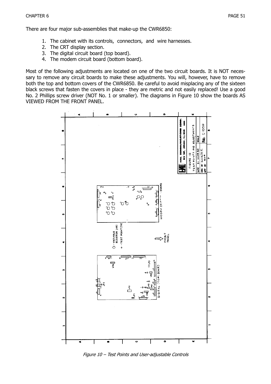- 1. The cabinet with its controls, connectors, and wire harnesses.
- 2. The CRT display section.
- 3. The digital circuit board (top board).
- 4. The modem circuit board (bottom board).

Most of the following adjustments are located on one of the two circuit boards. It is NOT necessary to remove any circuit boards to make these adjustments. You will, however, have to remove both the top and bottom covers of the CWR6850. Be careful to avoid misplacing any of the sixteen black screws that fasten the covers in place - they are metric and not easily replaced! Use a good No. 2 Phillips screw driver (NOT No. 1 or smaller). The diagrams in Figure 10 show the boards AS VIEWED FROM THE FRONT PANEL.



Figure 10 – Test Points and User-adjustable Controls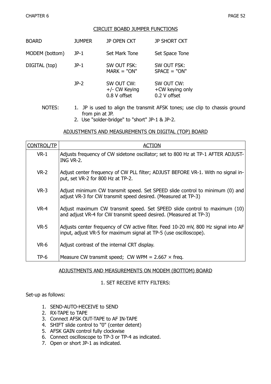#### CIRCUIT BOABD JUMPER FUNCTIONS

| <b>JUMPER</b> | JP OPEN CKT                                 | <b>JP SHORT CKT</b>                           |
|---------------|---------------------------------------------|-----------------------------------------------|
| $JP-1$        | Set Mark Tone                               | Set Space Tone                                |
| $JP-1$        | SW OUT FSK:<br>$MARK = "ON"$                | SW OUT FSK:<br>$SPACE = "ON"$                 |
| $JP-2$        | SW OUT CW:<br>+/- CW Keying<br>0.8 V offset | SW OUT CW:<br>+CW keying only<br>0.2 V offset |
|               |                                             |                                               |

- NOTES: 1. JP is used to align the transmit AFSK tones; use clip to chassis ground from pin at JP.
	- 2. Use "solder-bridge" to "short" JP-1 & JP-2.

#### ADJUSTMENTS AND MEASUREMENTS ON DIGITAL (TOP) BOARD

| <b>CONTROL/TP</b> | ACTION                                                                                                                                                  |
|-------------------|---------------------------------------------------------------------------------------------------------------------------------------------------------|
| $VR-1$            | Adjusts frequency of CW sidetone oscillator; set to 800 Hz at TP-1 AFTER ADJUST-<br>ING VR-2.                                                           |
| $VR-2$            | Adjust center frequency of CW PLL filter; ADJUST BEFORE VR-1. With no signal in-<br>put, set VR-2 for 800 Hz at TP-2.                                   |
| $VR-3$            | Adjust minimum CW transmit speed. Set SPEED slide control to minimum (0) and<br>adjust VR-3 for CW transmit speed desired. (Measured at TP-3)           |
| $VR-4$            | Adjust maximum CW transmit speed. Set SPEED slide control to maximum (10)<br>and adjust VR-4 for CW transmit speed desired. (Measured at TP-3)          |
| $VR-5$            | Adjusts center frequency of CW active filter. Feed 10-20 mV, 800 Hz signal into AF<br>input, adjust VR-5 for maximum signal at TP-5 (use oscilloscope). |
| $VR-6$            | Adjust contrast of the internal CRT display.                                                                                                            |
| $TP-6$            | Measure CW transmit speed; CW WPM = $2.667 \times$ freq.                                                                                                |

#### ADJUSTMENTS AND MEASUREMENTS ON MODEM (BOTTOM) BOARD

#### 1. SET RECEIVE RTTY FILTERS:

Set-up as follows:

- 1. SEND-AUTO-HECEIVE to SEND
- 2. RX-TAPE to TAPE
- 3. Connect AFSK OUT-TAPE to AF IN-TAPE
- 4. SHIFT slide control to "0" (center detent)
- 5. AFSK GAIN control fully clockwise
- 6. Connect oscilloscope to TP-3 or TP-4 as indicated.
- 7. Open or short JP-1 as indicated.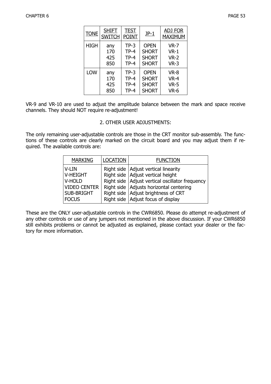| <b>TONE</b>                            | <b>SHIFT</b><br><b>SWITCH</b> | <b>TEST</b><br><b>POINT</b>          | $JP-1$                                                      | <b>ADJ FOR</b><br><b>MAXIMUM</b>      |
|----------------------------------------|-------------------------------|--------------------------------------|-------------------------------------------------------------|---------------------------------------|
| <b>HIGH</b>                            | any<br>170<br>425<br>850      | $TP-3$<br>$TP-4$<br>$TP-4$<br>$TP-4$ | <b>OPEN</b><br><b>SHORT</b><br><b>SHORT</b><br><b>SHORT</b> | $VR-7$<br>$VR-1$<br>$VR-2$<br>$VR-3$  |
| <b>LOW</b><br>any<br>170<br>425<br>850 |                               | $TP-3$<br>$TP-4$<br>$TP-4$<br>$TP-4$ | <b>OPEN</b><br><b>SHORT</b><br><b>SHORT</b><br><b>SHORT</b> | VR-8<br><b>VR-4</b><br>$VR-5$<br>VR-6 |

VR-9 and VR-10 are used to adjust the amplitude balance between the mark and space receive channels. They should NOT require re-adjustment!

#### 2. OTHER USER ADJUSTMENTS:

The only remaining user-adjustable controls are those in the CRT monitor sub-assembly. The functions of these controls are clearly marked on the circuit board and you may adjust them if required. The available controls are:

| <b>MARKING</b>    | <b>LOCATION</b> | <b>FUNCTION</b>                                   |
|-------------------|-----------------|---------------------------------------------------|
| V-LIN             |                 | Right side   Adjust vertical linearity            |
| V-HEIGHT          |                 | Right side   Adjust vertical height               |
| V-HOLD            |                 | Right side   Adjust vertical oscillator frequency |
| VIDEO CENTER      |                 | Right side   Adjusts horizontal centering         |
| <b>SUB-BRIGHT</b> |                 | Right side   Adjust brightness of CRT             |
| <b>FOCUS</b>      |                 | Right side   Adjust focus of display              |

These are the ONLY user-adjustable controls in the CWR6850. Please do attempt re-adjustment of any other controls or use of any jumpers not mentioned in the above discussion. If your CWR6850 still exhibits problems or cannot be adjusted as explained, please contact your dealer or the factory for more information.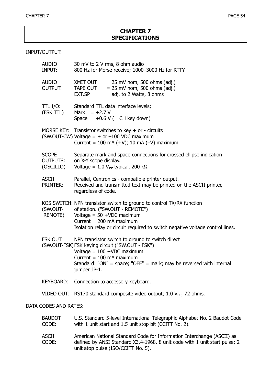#### **CHAPTER 7 SPECIFICATIONS**

#### INPUT/OUTPUT:

| <b>AUDIO</b><br><b>INPUT:</b>                | 30 mV to 2 V rms, 8 ohm audio<br>800 Hz for Morse receive; 1000-3000 Hz for RTTY                                                                                                                                                                           |
|----------------------------------------------|------------------------------------------------------------------------------------------------------------------------------------------------------------------------------------------------------------------------------------------------------------|
| <b>AUDIO</b><br><b>OUTPUT:</b>               | XMIT OUT<br>$= 25$ mV nom, 500 ohms (adj.)<br>$= 25$ mV nom, 500 ohms (adj.)<br>TAPE OUT<br>EXT.SP<br>$=$ adj. to 2 Watts, 8 ohms                                                                                                                          |
| TTL I/O:<br>(FSK TTL)                        | Standard TTL data interface levels;<br>Mark = $+2.7 V$<br>Space = $+0.6$ V (= CH key down)                                                                                                                                                                 |
|                                              | MORSE KEY: Transistor switches to key + or - circuits<br>(SW.OUT-CW) Voltage = $+$ or $-100$ VDC maximum<br>Current = 100 mA $(+V)$ ; 10 mA $(-V)$ maximum                                                                                                 |
| <b>SCOPE</b><br><b>OUTPUTS:</b><br>(OSCILLO) | Separate mark and space connections for crossed ellipse indication<br>on X-Y scope display.<br>Voltage = 1.0 $V_{PP}$ typical, 200 kΩ                                                                                                                      |
| <b>ASCII</b><br><b>PRINTER:</b>              | Parallel, Centronics - compatible printer output.<br>Received and transmitted text may be printed on the ASCII printer,<br>regardless of code.                                                                                                             |
| (SW.OUT-<br>REMOTE)                          | KOS SWITCH: NPN transistor switch to ground to control TX/RX function<br>of station. ("SW.OUT - REMOTE")<br>Voltage = $50 + VDC$ maximum<br>Current = $200$ mA maximum<br>Isolation relay or circuit required to switch negative voltage control lines.    |
| FSK OUT:                                     | NPN transistor switch to ground to switch direct<br>(SW.OUT-FSK) FSK keying circuit ("SW.OUT - FSK")<br>Voltage = $100 + VDC$ maximum<br>Current = $100$ mA maximum<br>Standard: "ON" = space; "OFF" = mark; may be reversed with internal<br>jumper JP-1. |
| <b>KEYBOARD:</b>                             | Connection to accessory keyboard.                                                                                                                                                                                                                          |
| VIDEO OUT:                                   | RS170 standard composite video output; 1.0 V <sub>PP</sub> , 72 ohms.                                                                                                                                                                                      |
| DATA CODES AND RATES:                        |                                                                                                                                                                                                                                                            |
| <b>BAUDOT</b><br>CODE:                       | U.S. Standard 5-level International Telegraphic Alphabet No. 2 Baudot Code<br>with 1 unit start and 1.5 unit stop bit (CCITT No. 2).                                                                                                                       |

| ASCII | American National Standard Code for Information Interchange (ASCII) as     |
|-------|----------------------------------------------------------------------------|
| CODE: | defined by ANSI Standard X3.4-1968. 8 unit code with 1 unit start pulse; 2 |
|       | unit atop pulse (ISO/CCITT No. 5).                                         |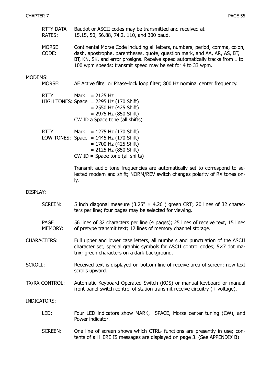- RTTY DATA Baudot or ASCII codes may be transmitted and received at RATES: 15.15, 50, 56.88, 74.2, 110, and 300 baud.
- MORSE Continental Morse Code including all letters, numbers, period, comma, colon, CODE: dash, apostrophe, parentheses, quote, question mark, and AA, AR, AS, BT, BT, KN, SK, and error prosigns. Receive speed automatically tracks from 1 to 100 wpm speeds: transmit speed may be set for 4 to 33 wpm.

#### MODEMS:

MORSE: AF Active filter or Phase-lock loop filter; 800 Hz nominal center frequency.

| RTTY | Mark $= 2125$ Hz |                                                 |
|------|------------------|-------------------------------------------------|
|      |                  | HIGH TONES: Space $= 2295$ Hz (170 Shift)       |
|      |                  | $= 2550$ Hz (425 Shift)                         |
|      |                  | $= 2975$ Hz (850 Shift)                         |
|      |                  | CW ID a Space tone (all shifts)                 |
| ∨דדם |                  | $M \sim L$ $-$ 1075 LI <sub>7</sub> (170 Chift) |

| RTTY | Mark = $1275$ Hz (170 Shift)             |
|------|------------------------------------------|
|      | LOW TONES: Space $=$ 1445 Hz (170 Shift) |
|      | $= 1700$ Hz (425 Shift)                  |
|      | $= 2125$ Hz (850 Shift)                  |
|      | $CW$ ID = Spaoe tone (all shifts)        |

Transmit audio tone frequencies are automatically set to correspond to selected modem and shift; NORM/REV switch changes polarity of RX tones only.

#### DISPLAY:

- SCREEN: 5 inch diagonal measure  $(3.25" \times 4.26")$  green CRT; 20 lines of 32 characters per line; four pages may be selected for viewing.
- PAGE 56 lines of 32 characters per line (4 pages); 25 lines of receive text, 15 lines MEMORY: of pretype transmit text; 12 lines of memory channel storage.
- CHARACTERS: Full upper and lower case letters, all numbers and punctuation of the ASCII character set, special graphic symbols for ASCII control codes; 5×7 dot matrix; green characters on a dark background.
- SCROLL: Received text is displayed on bottom line of receive area of screen; new text scrolls upward.
- TX/RX CONTROL: Automatic Keyboard Operated Switch (KOS) or manual keyboard or manual front panel switch control of station transmit-receive circuitry (+ voltage).

#### INDICATORS:

- LED: Four LED indicators show MARK, SPACE, Morse center tuning (CW), and Power indicator.
- SCREEN: One line of screen shows which CTRL- functions are presently in use; contents of all HERE IS messages are displayed on page 3. (See APPENDIX B)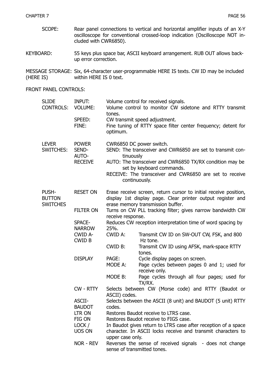- SCOPE: Rear panel connections to vertical and horizontal amplifier inputs of an X-Y oscilloscope for conventional crossed-loop indication (Oscilloscope NOT included with CWR6850).
- KEYBOARD: 55 keys plus space bar, ASCII keyboard arrangement. RUB OUT allows backup error correction.

MESSAGE STORAGE: Six, 64-character user-programmable HERE IS texts. CW ID may be included (HERE IS) within HERE IS 0 text.

#### FRONT PANEL CONTROLS:

| <b>SLIDE</b><br><b>CONTROLS:</b>          | <b>INPUT:</b><br><b>VOLUME:</b><br>SPEED:<br>FINE: | tones.<br>optimum.                                                                                                             | Volume control for received signals.<br>Volume control to monitor CW sidetone and RTTY transmit<br>CW transmit speed adjustment.<br>Fine tuning of RTTY space filter center frequency; detent for                                                                        |  |
|-------------------------------------------|----------------------------------------------------|--------------------------------------------------------------------------------------------------------------------------------|--------------------------------------------------------------------------------------------------------------------------------------------------------------------------------------------------------------------------------------------------------------------------|--|
| <b>LEVER</b><br><b>SWITCHES:</b>          | <b>POWER</b><br>SEND-<br>AUTO-<br><b>RECEIVE</b>   |                                                                                                                                | CWR6850 DC power switch.<br>SEND: The transceiver and CWR6850 are set to transmit con-<br>tinuously<br>AUTO: The transceiver and CWR6850 TX/RX condition may be<br>set by keyboard commands.<br>RECEIVE: The transceiver and CWR6850 are set to receive<br>continuously. |  |
| PUSH-<br><b>BUTTON</b><br><b>SWITCHES</b> | <b>RESET ON</b>                                    |                                                                                                                                | Erase receive screen, return cursor to initial receive position,<br>display 1st display page. Clear printer output register and<br>erase memory transmission buffer.                                                                                                     |  |
|                                           | <b>FILTER ON</b>                                   | receive response.                                                                                                              | Turns on CW PLL tracking filter; gives narrow bandwidth CW                                                                                                                                                                                                               |  |
|                                           | SPACE-<br><b>NARROW</b>                            | 25%.                                                                                                                           | Reduces CW reception interpretation time of word spacing by                                                                                                                                                                                                              |  |
|                                           | CWID A-<br><b>CWID B</b>                           | CWID A:                                                                                                                        | Transmit CW ID on SW-OUT CW, FSK, and 800<br>Hz tone.                                                                                                                                                                                                                    |  |
|                                           |                                                    | CWID B:                                                                                                                        | Transmit CW ID using AFSK, mark-space RTTY<br>tones.                                                                                                                                                                                                                     |  |
|                                           | <b>DISPLAY</b>                                     | PAGE:<br>MODE A:                                                                                                               | Cycle display pages on screen.<br>Page cycles between pages 0 and 1; used for<br>receive only.                                                                                                                                                                           |  |
|                                           |                                                    | MODE B:                                                                                                                        | Page cycles through all four pages; used for<br>TX/RX.                                                                                                                                                                                                                   |  |
|                                           | CW - RTTY                                          | ASCII) codes.                                                                                                                  | Selects between CW (Morse code) and RTTY (Baudot or                                                                                                                                                                                                                      |  |
|                                           | ASCII-<br><b>BAUDOT</b>                            | Selects between the ASCII (8 unit) and BAUDOT (5 unit) RTTY<br>codes.                                                          |                                                                                                                                                                                                                                                                          |  |
|                                           | LTR ON                                             | Restores Baudot receive to LTRS case.                                                                                          |                                                                                                                                                                                                                                                                          |  |
|                                           | FIG ON                                             | Restores Baudot receive to FIGS case.                                                                                          |                                                                                                                                                                                                                                                                          |  |
|                                           | LOCK/<br>UOS ON                                    | In Baudot gives return to LTRS case after reception of a space<br>character. In ASCII locks receive and transmit characters to |                                                                                                                                                                                                                                                                          |  |
|                                           | NOR - REV                                          | upper case only.<br>Reverses the sense of received signals - does not change<br>sense of transmitted tones.                    |                                                                                                                                                                                                                                                                          |  |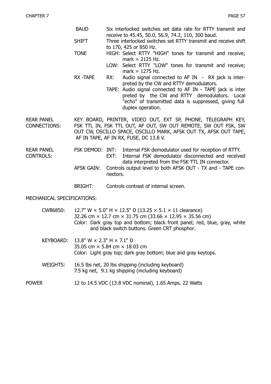- BAUD Six interlocked switches set data rate for RTTY transmit and receive to 45.45, 50.0, 56.9, 74.2, 110, 300 baud.
- SHIFT Three interlocked switches set RTTY transmit and receive shift to 170, 425 or 850 Hz.
- TONE HIGH: Select RTTY "HIGH" tones for transmit and receive;  $mark = 2125 Hz$ .
	- LOW: Select RTTY "LOW" tones for transmit and receive; mark = 1275 Hz.
- RX -TAPE RX: Audio signal connected to AF IN RX jack is interpreted by the CW and RTTY demodulators.
	- TAPE: Audio signal connected to AF IN TAPE jack is inter preted by the CW and RTTY demodulators. Local "echo" of transmitted data is suppressed, giving full duplex operation.

REAR PANEL KEY BOARD, PRINTER, VIDEO OUT, EXT SP, PHONE, TELEGRAPH KEY, CONNECTIONS: FSK TTL IN, FSK TTL OUT, AF OUT, SW OUT REMOTE, SW OUT FSK, SW OUT CW, OSCILLO SPACE, OSCILLO MARK, AFSK OUT TX, AFSK OUT TAPE, AF IN TAPE, AF IN RX, FUSE, DC 13.8 V.

- REAR PANEL FSK DEMOD: INT: Internal FSK demodulator used for reception of RTTY. CONTROLS: EXT: Internal FSK demodulator disconnected and received data interpreted from the FSK TTL IN connector.
	- AFSK GAIN: Controls output level to both AFSK OUT TX and TAPE connectors.
	- BRIGHT: Controls contrast of internal screen.

#### MECHANICAL SPECIFICATIONS:

| CWB6850: | 12.7" W $\times$ 5.0" H $\times$ 12.5" D (13.25 $\times$ 5.1 $\times$ 11 clearance)                                         |
|----------|-----------------------------------------------------------------------------------------------------------------------------|
|          | 32.26 cm $\times$ 12.7 cm $\times$ 31.75 cm (33.66 $\times$ 12.95 $\times$ 35.56 cm)                                        |
|          | Color: Dark gray top and bottom; black front panel; red, blue, gray, white<br>and black switch buttons. Green CRT phosphor. |
|          |                                                                                                                             |

- KEYBOARD: 13.8" W × 2.3" H × 7.1" D 35.05 cm × 5.84 cm × 18.03 cm Color: Light gray top; dark gray bottom; blue and gray keytops.
- WEIGHTS: 16.5 lbs net, 20 lbs shipping (including keyboard) 7.5 kg net, 9.1 kg shipping (including keyboard)
- POWER 12 to 14.5 VDC (13.8 VDC nominal), 1.65 Amps. 22 Watts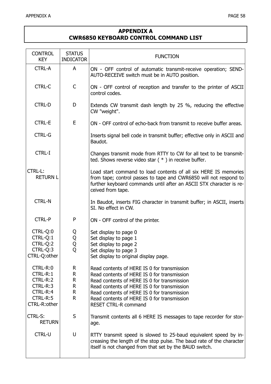#### **APPENDIX A CWR6850 KEYBOARD CONTROL COMMAND LIST**

| <b>CONTROL</b><br><b>KEY</b>                                                         | <b>STATUS</b><br><b>INDICATOR</b> | <b>FUNCTION</b>                                                                                                                                                                                                                                                                                                       |
|--------------------------------------------------------------------------------------|-----------------------------------|-----------------------------------------------------------------------------------------------------------------------------------------------------------------------------------------------------------------------------------------------------------------------------------------------------------------------|
| <b>CTRL-A</b>                                                                        | A                                 | ON - OFF control of automatic transmit-receive operation; SEND-<br>AUTO-RECEIVE switch must be in AUTO position.                                                                                                                                                                                                      |
| <b>CTRL-C</b>                                                                        | C                                 | ON - OFF control of reception and transfer to the printer of ASCII<br>control codes.                                                                                                                                                                                                                                  |
| <b>CTRL-D</b>                                                                        | D                                 | Extends CW transmit dash length by 25 %, reducing the effective<br>CW "weight".                                                                                                                                                                                                                                       |
| <b>CTRL-E</b>                                                                        | E                                 | ON - OFF control of echo-back from transmit to receive buffer areas.                                                                                                                                                                                                                                                  |
| <b>CTRL-G</b>                                                                        |                                   | Inserts signal bell code in transmit buffer; effective only in ASCII and<br>Baudot.                                                                                                                                                                                                                                   |
| <b>CTRL-I</b>                                                                        |                                   | Changes transmit mode from RTTY to CW for all text to be transmit-<br>ted. Shows reverse video star $(*)$ in receive buffer.                                                                                                                                                                                          |
| <b>CTRL-L:</b><br><b>RETURN L</b>                                                    |                                   | Load start command to load contents of all six HERE IS memories<br>from tape; control passes to tape and CWR6850 will not respond to<br>further keyboard commands until after an ASCII STX character is re-<br>ceived from tape.                                                                                      |
| <b>CTRL-N</b>                                                                        |                                   | In Baudot, inserts FIG character in transmit buffer; in ASCII, inserts<br>SI. No effect in CW.                                                                                                                                                                                                                        |
| <b>CTRL-P</b>                                                                        | ${\sf P}$                         | ON - OFF control of the printer.                                                                                                                                                                                                                                                                                      |
| CTRL-Q:0<br>CTRL-Q:1<br>CTRL-Q:2<br>CTRL-Q:3<br>CTRL-Q:other                         | Q<br>Q<br>Q<br>Q                  | Set display to page 0<br>Set display to page 1<br>Set display to page 2<br>Set display to page 3<br>Set display to original display page.                                                                                                                                                                             |
| CTRL-R:0<br>CTRL-R:1<br>CTRL-R:2<br>CTRL-R:3<br>CTRL-R:4<br>CTRL-R:5<br>CTRL-R:other | R.<br>R<br>R<br>R.<br>R.<br>R.    | Read contents of HERE IS 0 for transmission<br>Read contents of HERE IS 0 for transmission<br>Read contents of HERE IS 0 for transmission<br>Read contents of HERE IS 0 for transmission<br>Read contents of HERE IS 0 for transmission<br>Read contents of HERE IS 0 for transmission<br><b>RESET CTRL-R command</b> |
| <b>CTRL-S:</b><br><b>RETURN</b>                                                      | S                                 | Transmit contents all 6 HERE IS messages to tape recorder for stor-<br>age.                                                                                                                                                                                                                                           |
| <b>CTRL-U</b>                                                                        | U                                 | RTTY transmit speed is slowed to 25-baud equivalent speed by in-<br>creasing the length of the stop pulse. The baud rate of the character<br>itself is not changed from that set by the BAUD switch.                                                                                                                  |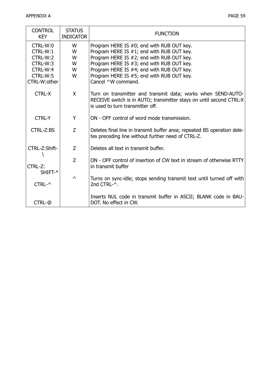| <b>CONTROL</b><br><b>KEY</b> | <b>STATUS</b><br><b>INDICATOR</b> | <b>FUNCTION</b>                                                                                                                                                         |
|------------------------------|-----------------------------------|-------------------------------------------------------------------------------------------------------------------------------------------------------------------------|
| CTRL-W:0                     | W                                 | Program HERE IS #0; end with RUB OUT key.                                                                                                                               |
| CTRL-W:1                     | W                                 | Program HERE IS #1; end with RUB OUT key.                                                                                                                               |
| CTRL-W:2                     | W                                 | Program HERE IS #2; end with RUB OUT key.                                                                                                                               |
| CTRL-W:3                     | W                                 | Program HERE IS #3; end with RUB OUT key.                                                                                                                               |
| CTRL-W:4                     | W                                 | Program HERE IS #4; end with RUB OUT key.                                                                                                                               |
| CTRL-W:5                     | W                                 | Program HERE IS #5; end with RUB OUT key.                                                                                                                               |
| CTRL-W:other                 |                                   | Cancel ^W command.                                                                                                                                                      |
| <b>CTRL-X</b>                | X                                 | Turn on transmitter and transmit data; works when SEND-AUTO-<br>RECEIVE switch is in AUTO; transmitter stays on until second CTRL-X<br>is used to turn transmitter off. |
| <b>CTRL-Y</b>                | Y                                 | ON - OFF control of word mode transmission.                                                                                                                             |
| CTRL-Z:BS                    | Z                                 | Deletes final line in transmit buffer area; repeated BS operation dele-<br>tes preceding line without further need of CTRL-Z.                                           |
| CTRL-Z:Shift-                | Z                                 | Deletes all text in transmit buffer.                                                                                                                                    |
| CTRL-Z:<br>SHIFT-*           | Z                                 | ON - OFF control of insertion of CW text in stream of otherwise RTTY<br>in transmit buffer                                                                              |
| $CTRL-2$                     | $\wedge$                          | Turns on sync-idle; stops sending transmit text until turned off with<br>2nd CTRL-^.                                                                                    |
| CTRL-@                       |                                   | Inserts NUL code in transmit buffer in ASCII; BLANK code in BAU-<br>DOT. No effect in CW.                                                                               |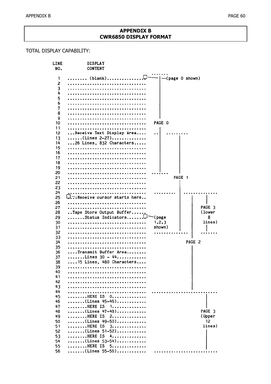#### **APPENDIX B CWR6850 DISPLAY FORMAT**

#### TOTAL DISPLAY CAPABILITY:

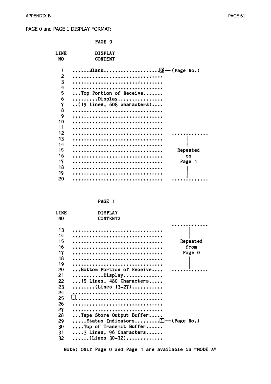#### PAGE 0 and PAGE 1 DISPLAY FORMAT:

|                                                                                           | PAGE 0                                                                   |                          |
|-------------------------------------------------------------------------------------------|--------------------------------------------------------------------------|--------------------------|
| <b>LINE</b><br>NO                                                                         | <b>DISPLAY</b><br><b>CONTENT</b>                                         |                          |
| 1<br>2<br>3<br>4<br>5<br>6<br>7<br>8<br>9<br>10<br>11<br>12<br>13<br>14<br>15<br>16<br>17 | Top Portion of Receive<br>Display<br>$\ldots$ (19 lines, 608 characters) | Repeated<br>on<br>Page 1 |
| 18<br>19<br>20                                                                            |                                                                          |                          |

| ۔ پ<br>м<br>. . |  |
|-----------------|--|
|-----------------|--|

| LINE<br>NO | <b>DISPLAY</b><br><b>CONTENTS</b>     |          |
|------------|---------------------------------------|----------|
|            |                                       |          |
| 13         |                                       |          |
| 14         |                                       |          |
| 15         |                                       | Repeated |
| 16         |                                       | from     |
| 17         |                                       | Page 0   |
| 18         |                                       |          |
| 19         |                                       |          |
| 20         | Bottom Portion of Receive             |          |
| 21         | Display                               |          |
| 22         | $\ldots$ 15 Lines, 480 Characters     |          |
| 23         | (Lines $13-27)$                       |          |
| 24         |                                       |          |
| 25         |                                       |          |
| 26         |                                       |          |
| 27         |                                       |          |
| 28         | Tape Store Output Buffer              |          |
| 29         | Status Indicators $\Box$ — (Page No.) |          |
| 30         | Top of Transmit Buffer                |          |
| 31         | $\ldots$ 3 Lines, 96 Characters       |          |
| 32         | (Lines 30-32)                         |          |
|            |                                       |          |

Note: ONLY Page 0 and Page 1 are available in "MODE A"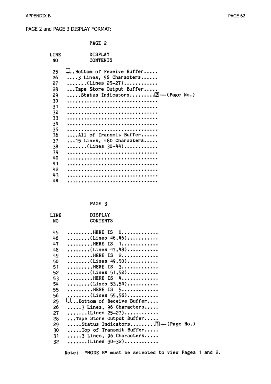#### PAGE 2 and PAGE 3 DISPLAY FORMAT:

| <b>DISPLAY</b><br>LINE<br>CONTENTS<br>NO<br>U. Bottom of Receive Buffer<br>25<br>26<br>$\ldots$ , 3 Lines, 96 Characters<br>(Lines 25-27)<br>27<br>Tape Store Output Buffer<br>28<br>Status Indicators $\boxed{2}$ -(Page No.)<br>29<br>30<br>31<br>32<br>33<br>34<br>35<br>36<br>All of Transmit Buffer<br>$\ldots$ 15 Lines, 480 Characters<br>37<br>$\ldots \ldots \ldots$ (Lines 30-44)<br>38<br>39<br>40<br>41<br>42 |    | PAGE 2 |  |
|---------------------------------------------------------------------------------------------------------------------------------------------------------------------------------------------------------------------------------------------------------------------------------------------------------------------------------------------------------------------------------------------------------------------------|----|--------|--|
|                                                                                                                                                                                                                                                                                                                                                                                                                           |    |        |  |
| 44                                                                                                                                                                                                                                                                                                                                                                                                                        | 43 |        |  |

PAGE 3

| LINE | <b>DISPLAY</b>                                                 |
|------|----------------------------------------------------------------|
| NO   | <b>CONTENTS</b>                                                |
|      |                                                                |
| 45   | HERE IS 0                                                      |
| 46   | $\ldots \ldots \ldots$ (Lines 46,46)                           |
| 47   | HERE IS 1                                                      |
| 48   | (Lines 47,48)                                                  |
| 49   | HERE IS 2                                                      |
| 50   | (Lines 49,50)                                                  |
| 51   | $\ldots \ldots \ldots$ HERE IS $3 \ldots \ldots \ldots \ldots$ |
| 52   | (Lines 51,52)                                                  |
| 53   | HERE IS 4                                                      |
| 54   | (Lines $53,54$ )                                               |
| 55   | HERE IS 5                                                      |
| 56   | (Lines 55,56)                                                  |
| 25   | Bottom of Receive Buffer لبا                                   |
| 26   | $\ldots$ . 3 Lines, 96 Characters                              |
| 27   | (Lines 25-27)                                                  |
| 28   | Tape Store Output Buffer                                       |
| 29   | Status Indicators $\mathbb{E}$ -(Page No.)                     |
| 30   | Top of Transmit Buffer                                         |
| 31   | $\ldots$ . 3 Lines, 96 Characters                              |
| 32   | (Lines 30-32)                                                  |
|      |                                                                |

Note: "MODE B" must be selected to view Pages 1 and 2.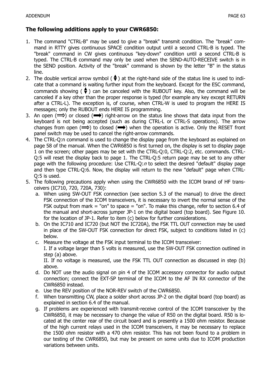- 1. The command "CTRL-B" may be used to give a "break" transmit condition. The "break" command in RTTY gives continuous SPACE condition output until a second CTRL-B is typed. The "break" command in CW gives continuous "key-down" condition until a second CTRL-B is typed. The CTRL-B command may only be used when the SEND-AUTO-RECEIVE switch is in the SEND position. Activity of the "break" command is shown by the letter "B" in the status line.
- 2. The double vertical arrow symbol ( $\blacklozenge$ ) at the right-hand side of the status line is used to indicate that a command is waiting further input from the keyboard. Except for the ESC command, commands showing ( $\bigcirc$ ) can be canceled with the RUBOUT key. Also, the command will be canceled if a key other than the proper response is typed (for example any key except RETURN after a CTRL-L). The exception is, of course, when CTRL-W is used to program the HERE IS messages; only the RUBOUT ends HERE IS programming.
- 3. An open  $(\implies)$  or closed  $(\implies)$  right-arrow on the status line shows that data input from the keyboard is not being accepted (such as during CTRL-L or CTRL-S operations). The arrow changes from open  $(\implies)$  to closed  $(\implies)$  when the operation is active. Only the RESET front panel switch may be used to cancel the right-arrow commands.
- 4. The CTRL-Q:n command is used to change the display page from the keyboard as explained on page 58 of the manual. When the CWR6850 is first turned on, the display is set to display page 1 on the screen; other pages may be set with the CTRL-Q:0, CTRL-Q:2, etc. commands. CTRL-Q:5 will reset the display back to page 1. The CTRL-Q:5 return page may be set to any other page with the following procedure: Use CTRL-O: $n$  to select the desired "default" display page and then type CTRL-Q:6. Now, the display will return to the new "default" page when CTRL-Q:5 is used.
- 5. The following precautions apply when using the CWR6850 with the ICOM brand of HF transceivers (IC710, 720, 720A, 730):
	- a. When using SW-OUT FSK connection (see section 5.3 of the manual) to drive the direct FSK connection of the ICOM transceivers, it is necessary to invert the normal sense of the FSK output from mark = "on" to space = "on". To make this change, refer to section 6.4 of the manual and short-across jumper JP-1 on the digital board (top board). See Figure 10. for the location of JP-1. Refer to item (c) below for further considerations.
	- b. On the IC710 and IC720 (but NOT the IC720A), the FSK TTL OUT connection may be used in place of the SW-OUT FSK connection for direct FSK, subject to conditions listed in (c) below.
	- c. Measure the voltage at the FSK input terminal to the ICOM transceiver:

I. If a voltage larger than 5 volts is measured, use the SW-OUT FSK connection outlined in step (a) above.

II. If no voltage is measured, use the FSK TTL OUT connection as discussed in step (b) above.

- d. Do NOT use the audio signal on pin 4 of the ICOM accessory connector for audio output connection; connect the EXT-SP terminal of the ICOM to the AF IN RX connector of the CWR6850 instead.
- e. Use the REV position of the NOR-REV switch of the CWR6850.
- f. When transmitting CW, place a solder short across JP-2 on the digital board (top board) as explained in section 6.4 of the manual.
- g. If problems are experienced with transmit-receive control of the ICOM transceiver by the CWR6850, it may be necessary to change the value of R50 on the digital board. R50 is located at the center rear of the circuit board and is presently a 1500 ohm resistor. Because of the high current relays used in the ICOM transceivers, it may be necessary to replace the 1500 ohm resistor with a 470 ohm resistor. This has not been found to a problem in our testing of the CWR6850, but may be present on some units due to ICOM production variations between units.